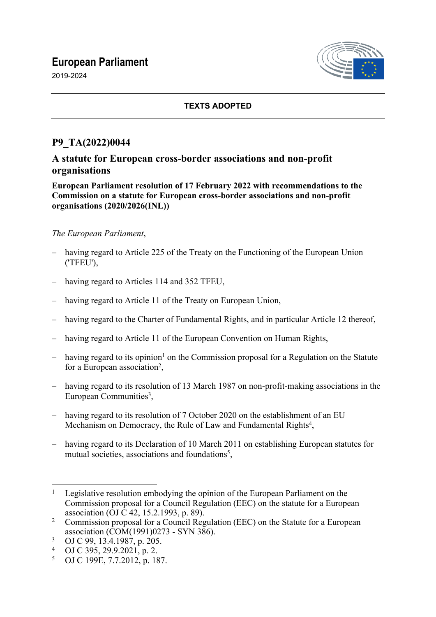# **European Parliament**

2019-2024



### **TEXTS ADOPTED**

# **P9\_TA(2022)0044**

# **A statute for European cross-border associations and non-profit organisations**

### **European Parliament resolution of 17 February 2022 with recommendations to the Commission on a statute for European cross-border associations and non-profit organisations (2020/2026(INL))**

## *The European Parliament*,

- having regard to Article 225 of the Treaty on the Functioning of the European Union ('TFEU'),
- having regard to Articles 114 and 352 TFEU,
- having regard to Article 11 of the Treaty on European Union,
- having regard to the Charter of Fundamental Rights, and in particular Article 12 thereof,
- having regard to Article 11 of the European Convention on Human Rights,
- having regard to its opinion<sup>1</sup> on the Commission proposal for a Regulation on the Statute for a European association<sup>2</sup>,
- having regard to its resolution of 13 March 1987 on non-profit-making associations in the European Communities<sup>3</sup>,
- having regard to its resolution of 7 October 2020 on the establishment of an EU Mechanism on Democracy, the Rule of Law and Fundamental Rights<sup>4</sup>,
- having regard to its Declaration of 10 March 2011 on establishing European statutes for mutual societies, associations and foundations<sup>5</sup>,

- 3 OJ C 99, 13.4.1987, p. 205.
- 4 OJ C 395, 29.9.2021, p. 2.
- 5 OJ C 199E, 7.7.2012, p. 187.

<sup>1</sup> Legislative resolution embodying the opinion of the European Parliament on the Commission proposal for a Council Regulation (EEC) on the statute for a European association (OJ C 42, 15.2.1993, p. 89).

<sup>2</sup> Commission proposal for a Council Regulation (EEC) on the Statute for a European association (COM(1991)0273 - SYN 386).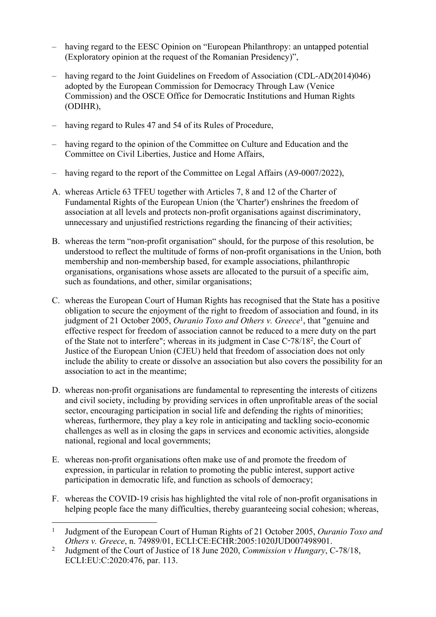- having regard to the EESC Opinion on "European Philanthropy: an untapped potential (Exploratory opinion at the request of the Romanian Presidency)",
- having regard to the Joint Guidelines on Freedom of Association (CDL-AD(2014)046) adopted by the European Commission for Democracy Through Law (Venice Commission) and the OSCE Office for Democratic Institutions and Human Rights (ODIHR),
- having regard to Rules 47 and 54 of its Rules of Procedure,
- having regard to the opinion of the Committee on Culture and Education and the Committee on Civil Liberties, Justice and Home Affairs,
- having regard to the report of the Committee on Legal Affairs (A9-0007/2022),
- A. whereas Article 63 TFEU together with Articles 7, 8 and 12 of the Charter of Fundamental Rights of the European Union (the 'Charter') enshrines the freedom of association at all levels and protects non-profit organisations against discriminatory, unnecessary and unjustified restrictions regarding the financing of their activities;
- B. whereas the term "non-profit organisation" should, for the purpose of this resolution, be understood to reflect the multitude of forms of non-profit organisations in the Union, both membership and non-membership based, for example associations, philanthropic organisations, organisations whose assets are allocated to the pursuit of a specific aim, such as foundations, and other, similar organisations;
- C. whereas the European Court of Human Rights has recognised that the State has a positive obligation to secure the enjoyment of the right to freedom of association and found, in its judgment of 21 October 2005, *Ouranio Toxo and Others v. Greece<sup>1</sup>*, that "genuine and effective respect for freedom of association cannot be reduced to a mere duty on the part of the State not to interfere"; whereas in its judgment in Case C‑78/18<sup>2</sup> , the Court of Justice of the European Union (CJEU) held that freedom of association does not only include the ability to create or dissolve an association but also covers the possibility for an association to act in the meantime;
- D. whereas non-profit organisations are fundamental to representing the interests of citizens and civil society, including by providing services in often unprofitable areas of the social sector, encouraging participation in social life and defending the rights of minorities; whereas, furthermore, they play a key role in anticipating and tackling socio-economic challenges as well as in closing the gaps in services and economic activities, alongside national, regional and local governments;
- E. whereas non-profit organisations often make use of and promote the freedom of expression, in particular in relation to promoting the public interest, support active participation in democratic life, and function as schools of democracy;
- F. whereas the COVID-19 crisis has highlighted the vital role of non-profit organisations in helping people face the many difficulties, thereby guaranteeing social cohesion; whereas,

<sup>1</sup> Judgment of the European Court of Human Rights of 21 October 2005, *Ouranio Toxo and Others v. Greece*, n. 74989/01, ECLI:CE:ECHR:2005:1020JUD007498901.

<sup>2</sup> Judgment of the Court of Justice of 18 June 2020, *Commission v Hungary*, C-78/18, ECLI:EU:C:2020:476, par. 113.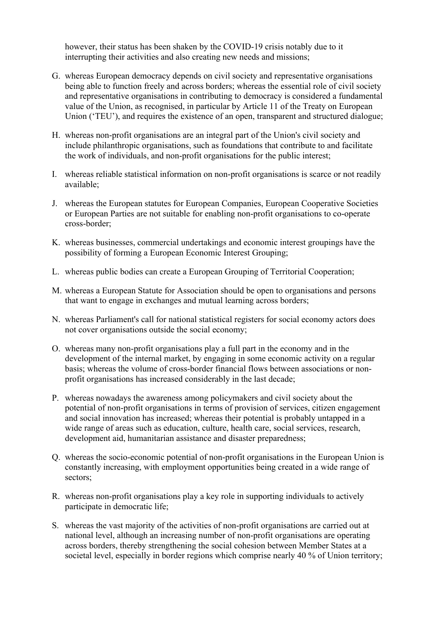however, their status has been shaken by the COVID-19 crisis notably due to it interrupting their activities and also creating new needs and missions;

- G. whereas European democracy depends on civil society and representative organisations being able to function freely and across borders; whereas the essential role of civil society and representative organisations in contributing to democracy is considered a fundamental value of the Union, as recognised, in particular by Article 11 of the Treaty on European Union ('TEU'), and requires the existence of an open, transparent and structured dialogue;
- H. whereas non-profit organisations are an integral part of the Union's civil society and include philanthropic organisations, such as foundations that contribute to and facilitate the work of individuals, and non-profit organisations for the public interest;
- I. whereas reliable statistical information on non-profit organisations is scarce or not readily available;
- J. whereas the European statutes for European Companies, European Cooperative Societies or European Parties are not suitable for enabling non-profit organisations to co-operate cross-border;
- K. whereas businesses, commercial undertakings and economic interest groupings have the possibility of forming a European Economic Interest Grouping;
- L. whereas public bodies can create a European Grouping of Territorial Cooperation;
- M. whereas a European Statute for Association should be open to organisations and persons that want to engage in exchanges and mutual learning across borders;
- N. whereas Parliament's call for national statistical registers for social economy actors does not cover organisations outside the social economy;
- O. whereas many non-profit organisations play a full part in the economy and in the development of the internal market, by engaging in some economic activity on a regular basis; whereas the volume of cross-border financial flows between associations or nonprofit organisations has increased considerably in the last decade;
- P. whereas nowadays the awareness among policymakers and civil society about the potential of non-profit organisations in terms of provision of services, citizen engagement and social innovation has increased; whereas their potential is probably untapped in a wide range of areas such as education, culture, health care, social services, research, development aid, humanitarian assistance and disaster preparedness;
- Q. whereas the socio-economic potential of non-profit organisations in the European Union is constantly increasing, with employment opportunities being created in a wide range of sectors;
- R. whereas non-profit organisations play a key role in supporting individuals to actively participate in democratic life;
- S. whereas the vast majority of the activities of non-profit organisations are carried out at national level, although an increasing number of non-profit organisations are operating across borders, thereby strengthening the social cohesion between Member States at a societal level, especially in border regions which comprise nearly 40 % of Union territory;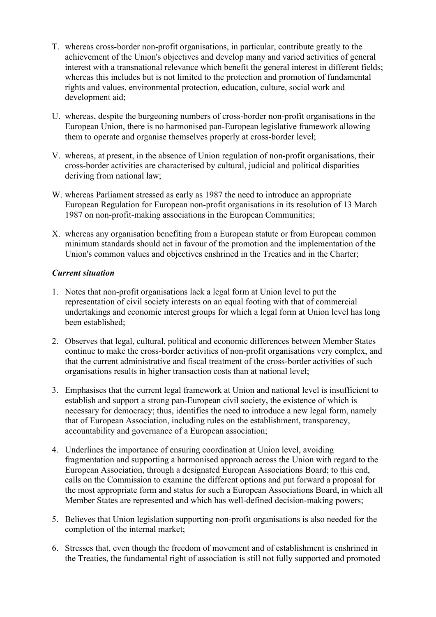- T. whereas cross-border non-profit organisations, in particular, contribute greatly to the achievement of the Union's objectives and develop many and varied activities of general interest with a transnational relevance which benefit the general interest in different fields; whereas this includes but is not limited to the protection and promotion of fundamental rights and values, environmental protection, education, culture, social work and development aid;
- U. whereas, despite the burgeoning numbers of cross-border non-profit organisations in the European Union, there is no harmonised pan-European legislative framework allowing them to operate and organise themselves properly at cross-border level;
- V. whereas, at present, in the absence of Union regulation of non-profit organisations, their cross-border activities are characterised by cultural, judicial and political disparities deriving from national law;
- W. whereas Parliament stressed as early as 1987 the need to introduce an appropriate European Regulation for European non-profit organisations in its resolution of 13 March 1987 on non-profit-making associations in the European Communities;
- X. whereas any organisation benefiting from a European statute or from European common minimum standards should act in favour of the promotion and the implementation of the Union's common values and objectives enshrined in the Treaties and in the Charter;

#### *Current situation*

- 1. Notes that non-profit organisations lack a legal form at Union level to put the representation of civil society interests on an equal footing with that of commercial undertakings and economic interest groups for which a legal form at Union level has long been established;
- 2. Observes that legal, cultural, political and economic differences between Member States continue to make the cross-border activities of non-profit organisations very complex, and that the current administrative and fiscal treatment of the cross-border activities of such organisations results in higher transaction costs than at national level;
- 3. Emphasises that the current legal framework at Union and national level is insufficient to establish and support a strong pan-European civil society, the existence of which is necessary for democracy; thus, identifies the need to introduce a new legal form, namely that of European Association, including rules on the establishment, transparency, accountability and governance of a European association;
- 4. Underlines the importance of ensuring coordination at Union level, avoiding fragmentation and supporting a harmonised approach across the Union with regard to the European Association, through a designated European Associations Board; to this end, calls on the Commission to examine the different options and put forward a proposal for the most appropriate form and status for such a European Associations Board, in which all Member States are represented and which has well-defined decision-making powers;
- 5. Believes that Union legislation supporting non-profit organisations is also needed for the completion of the internal market;
- 6. Stresses that, even though the freedom of movement and of establishment is enshrined in the Treaties, the fundamental right of association is still not fully supported and promoted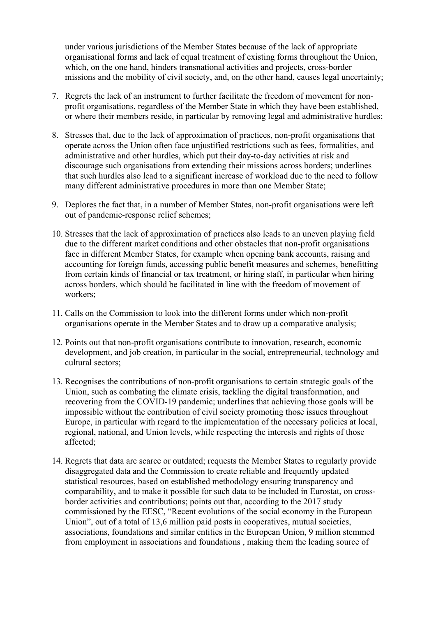under various jurisdictions of the Member States because of the lack of appropriate organisational forms and lack of equal treatment of existing forms throughout the Union, which, on the one hand, hinders transnational activities and projects, cross-border missions and the mobility of civil society, and, on the other hand, causes legal uncertainty;

- 7. Regrets the lack of an instrument to further facilitate the freedom of movement for nonprofit organisations, regardless of the Member State in which they have been established, or where their members reside, in particular by removing legal and administrative hurdles;
- 8. Stresses that, due to the lack of approximation of practices, non-profit organisations that operate across the Union often face unjustified restrictions such as fees, formalities, and administrative and other hurdles, which put their day-to-day activities at risk and discourage such organisations from extending their missions across borders; underlines that such hurdles also lead to a significant increase of workload due to the need to follow many different administrative procedures in more than one Member State;
- 9. Deplores the fact that, in a number of Member States, non-profit organisations were left out of pandemic-response relief schemes;
- 10. Stresses that the lack of approximation of practices also leads to an uneven playing field due to the different market conditions and other obstacles that non-profit organisations face in different Member States, for example when opening bank accounts, raising and accounting for foreign funds, accessing public benefit measures and schemes, benefitting from certain kinds of financial or tax treatment, or hiring staff, in particular when hiring across borders, which should be facilitated in line with the freedom of movement of workers;
- 11. Calls on the Commission to look into the different forms under which non-profit organisations operate in the Member States and to draw up a comparative analysis;
- 12. Points out that non-profit organisations contribute to innovation, research, economic development, and job creation, in particular in the social, entrepreneurial, technology and cultural sectors;
- 13. Recognises the contributions of non-profit organisations to certain strategic goals of the Union, such as combating the climate crisis, tackling the digital transformation, and recovering from the COVID-19 pandemic; underlines that achieving those goals will be impossible without the contribution of civil society promoting those issues throughout Europe, in particular with regard to the implementation of the necessary policies at local, regional, national, and Union levels, while respecting the interests and rights of those affected;
- 14. Regrets that data are scarce or outdated; requests the Member States to regularly provide disaggregated data and the Commission to create reliable and frequently updated statistical resources, based on established methodology ensuring transparency and comparability, and to make it possible for such data to be included in Eurostat, on crossborder activities and contributions; points out that, according to the 2017 study commissioned by the EESC, "Recent evolutions of the social economy in the European Union", out of a total of 13,6 million paid posts in cooperatives, mutual societies, associations, foundations and similar entities in the European Union, 9 million stemmed from employment in associations and foundations , making them the leading source of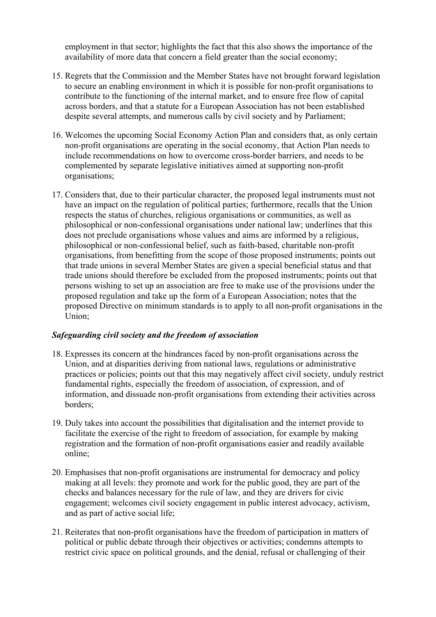employment in that sector; highlights the fact that this also shows the importance of the availability of more data that concern a field greater than the social economy;

- 15. Regrets that the Commission and the Member States have not brought forward legislation to secure an enabling environment in which it is possible for non-profit organisations to contribute to the functioning of the internal market, and to ensure free flow of capital across borders, and that a statute for a European Association has not been established despite several attempts, and numerous calls by civil society and by Parliament;
- 16. Welcomes the upcoming Social Economy Action Plan and considers that, as only certain non-profit organisations are operating in the social economy, that Action Plan needs to include recommendations on how to overcome cross-border barriers, and needs to be complemented by separate legislative initiatives aimed at supporting non-profit organisations;
- 17. Considers that, due to their particular character, the proposed legal instruments must not have an impact on the regulation of political parties; furthermore, recalls that the Union respects the status of churches, religious organisations or communities, as well as philosophical or non-confessional organisations under national law; underlines that this does not preclude organisations whose values and aims are informed by a religious, philosophical or non-confessional belief, such as faith-based, charitable non-profit organisations, from benefitting from the scope of those proposed instruments; points out that trade unions in several Member States are given a special beneficial status and that trade unions should therefore be excluded from the proposed instruments; points out that persons wishing to set up an association are free to make use of the provisions under the proposed regulation and take up the form of a European Association; notes that the proposed Directive on minimum standards is to apply to all non-profit organisations in the Union;

### *Safeguarding civil society and the freedom of association*

- 18. Expresses its concern at the hindrances faced by non-profit organisations across the Union, and at disparities deriving from national laws, regulations or administrative practices or policies; points out that this may negatively affect civil society, unduly restrict fundamental rights, especially the freedom of association, of expression, and of information, and dissuade non-profit organisations from extending their activities across borders;
- 19. Duly takes into account the possibilities that digitalisation and the internet provide to facilitate the exercise of the right to freedom of association, for example by making registration and the formation of non-profit organisations easier and readily available online;
- 20. Emphasises that non-profit organisations are instrumental for democracy and policy making at all levels: they promote and work for the public good, they are part of the checks and balances necessary for the rule of law, and they are drivers for civic engagement; welcomes civil society engagement in public interest advocacy, activism, and as part of active social life;
- 21. Reiterates that non-profit organisations have the freedom of participation in matters of political or public debate through their objectives or activities; condemns attempts to restrict civic space on political grounds, and the denial, refusal or challenging of their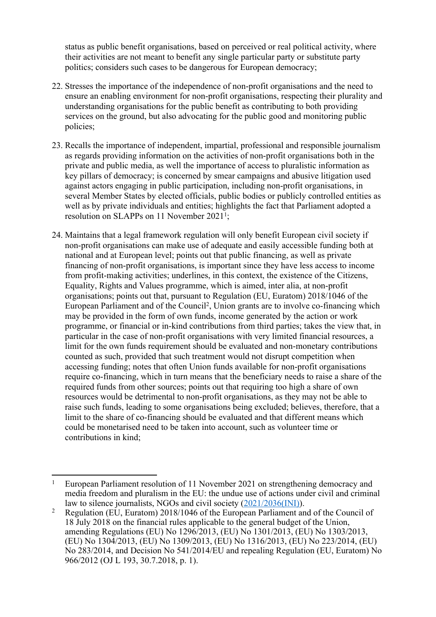status as public benefit organisations, based on perceived or real political activity, where their activities are not meant to benefit any single particular party or substitute party politics; considers such cases to be dangerous for European democracy;

- 22. Stresses the importance of the independence of non-profit organisations and the need to ensure an enabling environment for non-profit organisations, respecting their plurality and understanding organisations for the public benefit as contributing to both providing services on the ground, but also advocating for the public good and monitoring public policies;
- 23. Recalls the importance of independent, impartial, professional and responsible journalism as regards providing information on the activities of non-profit organisations both in the private and public media, as well the importance of access to pluralistic information as key pillars of democracy; is concerned by smear campaigns and abusive litigation used against actors engaging in public participation, including non-profit organisations, in several Member States by elected officials, public bodies or publicly controlled entities as well as by private individuals and entities; highlights the fact that Parliament adopted a resolution on SLAPPs on 11 November 2021<sup>1</sup>;
- 24. Maintains that a legal framework regulation will only benefit European civil society if non-profit organisations can make use of adequate and easily accessible funding both at national and at European level; points out that public financing, as well as private financing of non-profit organisations, is important since they have less access to income from profit-making activities; underlines, in this context, the existence of the Citizens, Equality, Rights and Values programme, which is aimed, inter alia, at non-profit organisations; points out that, pursuant to Regulation (EU, Euratom) 2018/1046 of the European Parliament and of the Council<sup>2</sup>, Union grants are to involve co-financing which may be provided in the form of own funds, income generated by the action or work programme, or financial or in-kind contributions from third parties; takes the view that, in particular in the case of non-profit organisations with very limited financial resources, a limit for the own funds requirement should be evaluated and non-monetary contributions counted as such, provided that such treatment would not disrupt competition when accessing funding; notes that often Union funds available for non-profit organisations require co-financing, which in turn means that the beneficiary needs to raise a share of the required funds from other sources; points out that requiring too high a share of own resources would be detrimental to non-profit organisations, as they may not be able to raise such funds, leading to some organisations being excluded; believes, therefore, that a limit to the share of co-financing should be evaluated and that different means which could be monetarised need to be taken into account, such as volunteer time or contributions in kind;

<sup>1</sup> European Parliament resolution of 11 November 2021 on strengthening democracy and media freedom and pluralism in the EU: the undue use of actions under civil and criminal law to silence journalists, NGOs and civil society [\(2021/2036\(INI\)](https://oeil.secure.europarl.europa.eu/oeil/popups/ficheprocedure.do?lang=en&reference=2021/2036(INI))).

<sup>2</sup> Regulation (EU, Euratom) 2018/1046 of the European Parliament and of the Council of 18 July 2018 on the financial rules applicable to the general budget of the Union, amending Regulations (EU) No 1296/2013, (EU) No 1301/2013, (EU) No 1303/2013, (EU) No 1304/2013, (EU) No 1309/2013, (EU) No 1316/2013, (EU) No 223/2014, (EU) No 283/2014, and Decision No 541/2014/EU and repealing Regulation (EU, Euratom) No 966/2012 (OJ L 193, 30.7.2018, p. 1).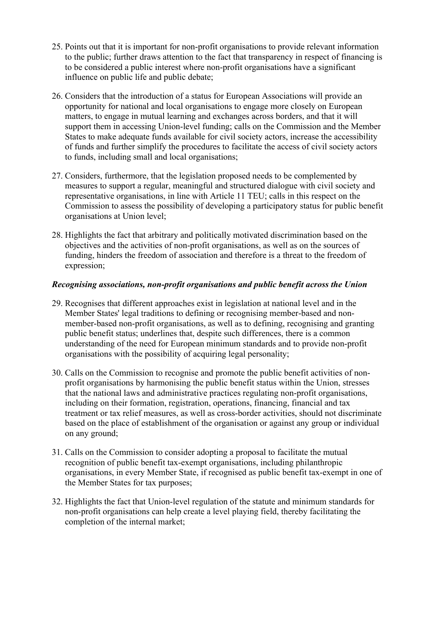- 25. Points out that it is important for non-profit organisations to provide relevant information to the public; further draws attention to the fact that transparency in respect of financing is to be considered a public interest where non-profit organisations have a significant influence on public life and public debate;
- 26. Considers that the introduction of a status for European Associations will provide an opportunity for national and local organisations to engage more closely on European matters, to engage in mutual learning and exchanges across borders, and that it will support them in accessing Union-level funding; calls on the Commission and the Member States to make adequate funds available for civil society actors, increase the accessibility of funds and further simplify the procedures to facilitate the access of civil society actors to funds, including small and local organisations;
- 27. Considers, furthermore, that the legislation proposed needs to be complemented by measures to support a regular, meaningful and structured dialogue with civil society and representative organisations, in line with Article 11 TEU; calls in this respect on the Commission to assess the possibility of developing a participatory status for public benefit organisations at Union level;
- 28. Highlights the fact that arbitrary and politically motivated discrimination based on the objectives and the activities of non-profit organisations, as well as on the sources of funding, hinders the freedom of association and therefore is a threat to the freedom of expression;

### *Recognising associations, non-profit organisations and public benefit across the Union*

- 29. Recognises that different approaches exist in legislation at national level and in the Member States' legal traditions to defining or recognising member-based and nonmember-based non-profit organisations, as well as to defining, recognising and granting public benefit status; underlines that, despite such differences, there is a common understanding of the need for European minimum standards and to provide non-profit organisations with the possibility of acquiring legal personality;
- 30. Calls on the Commission to recognise and promote the public benefit activities of nonprofit organisations by harmonising the public benefit status within the Union, stresses that the national laws and administrative practices regulating non-profit organisations, including on their formation, registration, operations, financing, financial and tax treatment or tax relief measures, as well as cross-border activities, should not discriminate based on the place of establishment of the organisation or against any group or individual on any ground;
- 31. Calls on the Commission to consider adopting a proposal to facilitate the mutual recognition of public benefit tax-exempt organisations, including philanthropic organisations, in every Member State, if recognised as public benefit tax-exempt in one of the Member States for tax purposes;
- 32. Highlights the fact that Union-level regulation of the statute and minimum standards for non-profit organisations can help create a level playing field, thereby facilitating the completion of the internal market;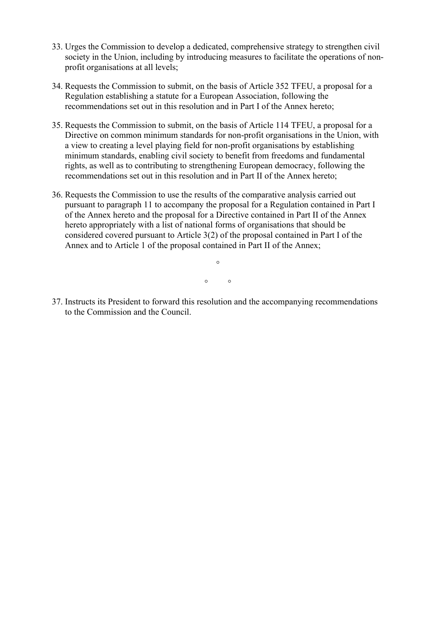- 33. Urges the Commission to develop a dedicated, comprehensive strategy to strengthen civil society in the Union, including by introducing measures to facilitate the operations of nonprofit organisations at all levels;
- 34. Requests the Commission to submit, on the basis of Article 352 TFEU, a proposal for a Regulation establishing a statute for a European Association, following the recommendations set out in this resolution and in Part I of the Annex hereto;
- 35. Requests the Commission to submit, on the basis of Article 114 TFEU, a proposal for a Directive on common minimum standards for non-profit organisations in the Union, with a view to creating a level playing field for non-profit organisations by establishing minimum standards, enabling civil society to benefit from freedoms and fundamental rights, as well as to contributing to strengthening European democracy, following the recommendations set out in this resolution and in Part II of the Annex hereto;
- 36. Requests the Commission to use the results of the comparative analysis carried out pursuant to paragraph 11 to accompany the proposal for a Regulation contained in Part I of the Annex hereto and the proposal for a Directive contained in Part II of the Annex hereto appropriately with a list of national forms of organisations that should be considered covered pursuant to Article 3(2) of the proposal contained in Part I of the Annex and to Article 1 of the proposal contained in Part II of the Annex;

 $\circ$   $\circ$ 

 $\circ$ 

37. Instructs its President to forward this resolution and the accompanying recommendations to the Commission and the Council.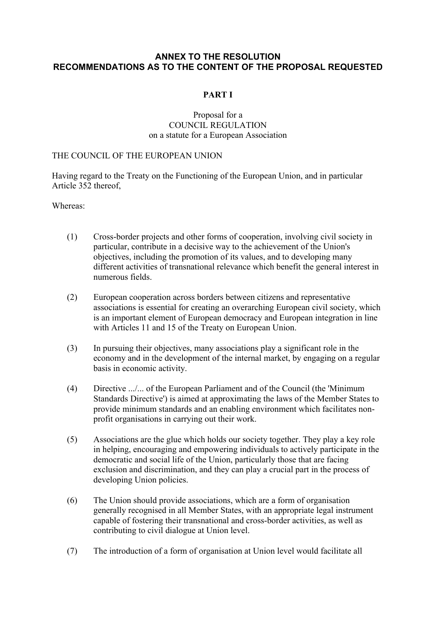### **ANNEX TO THE RESOLUTION RECOMMENDATIONS AS TO THE CONTENT OF THE PROPOSAL REQUESTED**

### **PART I**

### Proposal for a COUNCIL REGULATION on a statute for a European Association

### THE COUNCIL OF THE EUROPEAN UNION

Having regard to the Treaty on the Functioning of the European Union, and in particular Article 352 thereof,

Whereas:

- (1) Cross-border projects and other forms of cooperation, involving civil society in particular, contribute in a decisive way to the achievement of the Union's objectives, including the promotion of its values, and to developing many different activities of transnational relevance which benefit the general interest in numerous fields.
- (2) European cooperation across borders between citizens and representative associations is essential for creating an overarching European civil society, which is an important element of European democracy and European integration in line with Articles 11 and 15 of the Treaty on European Union.
- (3) In pursuing their objectives, many associations play a significant role in the economy and in the development of the internal market, by engaging on a regular basis in economic activity.
- (4) Directive .../... of the European Parliament and of the Council (the 'Minimum Standards Directive') is aimed at approximating the laws of the Member States to provide minimum standards and an enabling environment which facilitates nonprofit organisations in carrying out their work.
- (5) Associations are the glue which holds our society together. They play a key role in helping, encouraging and empowering individuals to actively participate in the democratic and social life of the Union, particularly those that are facing exclusion and discrimination, and they can play a crucial part in the process of developing Union policies.
- (6) The Union should provide associations, which are a form of organisation generally recognised in all Member States, with an appropriate legal instrument capable of fostering their transnational and cross-border activities, as well as contributing to civil dialogue at Union level.
- (7) The introduction of a form of organisation at Union level would facilitate all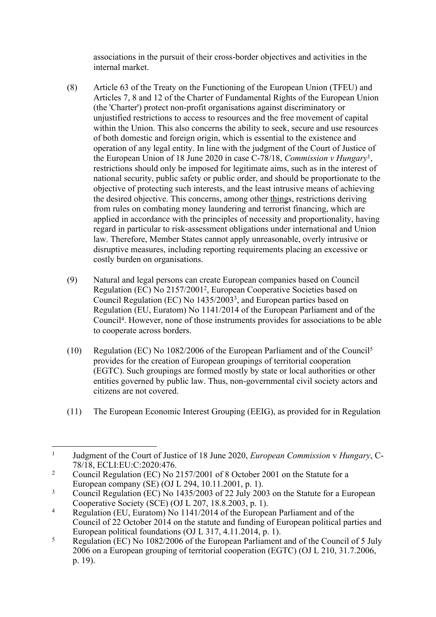associations in the pursuit of their cross-border objectives and activities in the internal market.

- (8) Article 63 of the Treaty on the Functioning of the European Union (TFEU) and Articles 7, 8 and 12 of the Charter of Fundamental Rights of the European Union (the 'Charter') protect non-profit organisations against discriminatory or unjustified restrictions to access to resources and the free movement of capital within the Union. This also concerns the ability to seek, secure and use resources of both domestic and foreign origin, which is essential to the existence and operation of any legal entity. In line with the judgment of the Court of Justice of the European Union of 18 June 2020 in case C-78/18, *Commission v Hungary*<sup>1</sup> , restrictions should only be imposed for legitimate aims, such as in the interest of national security, public safety or public order, and should be proportionate to the objective of protecting such interests, and the least intrusive means of achieving the desired objective. This concerns, among other things, restrictions deriving from rules on combating money laundering and terrorist financing, which are applied in accordance with the principles of necessity and proportionality, having regard in particular to risk-assessment obligations under international and Union law. Therefore, Member States cannot apply unreasonable, overly intrusive or disruptive measures, including reporting requirements placing an excessive or costly burden on organisations.
- (9) Natural and legal persons can create European companies based on Council Regulation (EC) No 2157/2001<sup>2</sup> , European Cooperative Societies based on Council Regulation (EC) No 1435/2003<sup>3</sup> , and European parties based on Regulation (EU, Euratom) No 1141/2014 of the European Parliament and of the Council<sup>4</sup> . However, none of those instruments provides for associations to be able to cooperate across borders.
- (10) Regulation (EC) No 1082/2006 of the European Parliament and of the Council<sup>5</sup> provides for the creation of European groupings of territorial cooperation (EGTC). Such groupings are formed mostly by state or local authorities or other entities governed by public law. Thus, non-governmental civil society actors and citizens are not covered.
- (11) The European Economic Interest Grouping (EEIG), as provided for in Regulation

<sup>1</sup> Judgment of the Court of Justice of 18 June 2020, *European Commission* v *Hungary*, C-78/18, ECLI:EU:C:2020:476.

<sup>2</sup> Council Regulation (EC) No 2157/2001 of 8 October 2001 on the Statute for a European company (SE) (OJ L 294, 10.11.2001, p. 1).

<sup>3</sup> Council Regulation (EC) No 1435/2003 of 22 July 2003 on the Statute for a European Cooperative Society (SCE) (OJ L 207, 18.8.2003, p. 1).

<sup>4</sup> Regulation (EU, Euratom) No 1141/2014 of the European Parliament and of the Council of 22 October 2014 on the statute and funding of European political parties and European political foundations (OJ L 317, 4.11.2014, p. 1).

<sup>5</sup> Regulation (EC) No 1082/2006 of the European Parliament and of the Council of 5 July 2006 on a European grouping of territorial cooperation (EGTC) (OJ L 210, 31.7.2006, p. 19).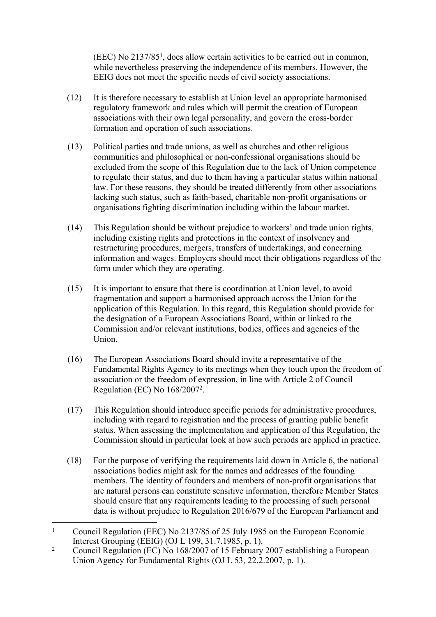(EEC) No 2137/85<sup>1</sup> , does allow certain activities to be carried out in common, while nevertheless preserving the independence of its members. However, the EEIG does not meet the specific needs of civil society associations.

- (12) It is therefore necessary to establish at Union level an appropriate harmonised regulatory framework and rules which will permit the creation of European associations with their own legal personality, and govern the cross-border formation and operation of such associations.
- (13) Political parties and trade unions, as well as churches and other religious communities and philosophical or non-confessional organisations should be excluded from the scope of this Regulation due to the lack of Union competence to regulate their status, and due to them having a particular status within national law. For these reasons, they should be treated differently from other associations lacking such status, such as faith-based, charitable non-profit organisations or organisations fighting discrimination including within the labour market.
- (14) This Regulation should be without prejudice to workers' and trade union rights, including existing rights and protections in the context of insolvency and restructuring procedures, mergers, transfers of undertakings, and concerning information and wages. Employers should meet their obligations regardless of the form under which they are operating.
- (15) It is important to ensure that there is coordination at Union level, to avoid fragmentation and support a harmonised approach across the Union for the application of this Regulation. In this regard, this Regulation should provide for the designation of a European Associations Board, within or linked to the Commission and/or relevant institutions, bodies, offices and agencies of the Union.
- (16) The European Associations Board should invite a representative of the Fundamental Rights Agency to its meetings when they touch upon the freedom of association or the freedom of expression, in line with Article 2 of Council Regulation (EC) No 168/2007<sup>2</sup> .
- (17) This Regulation should introduce specific periods for administrative procedures, including with regard to registration and the process of granting public benefit status. When assessing the implementation and application of this Regulation, the Commission should in particular look at how such periods are applied in practice.
- (18) For the purpose of verifying the requirements laid down in Article 6, the national associations bodies might ask for the names and addresses of the founding members. The identity of founders and members of non-profit organisations that are natural persons can constitute sensitive information, therefore Member States should ensure that any requirements leading to the processing of such personal data is without prejudice to Regulation 2016/679 of the European Parliament and

<sup>1</sup> Council Regulation (EEC) No 2137/85 of 25 July 1985 on the European Economic Interest Grouping (EEIG) (OJ L 199, 31.7.1985, p. 1).

<sup>2</sup> Council Regulation (EC) No 168/2007 of 15 February 2007 establishing a European Union Agency for Fundamental Rights (OJ L 53, 22.2.2007, p. 1).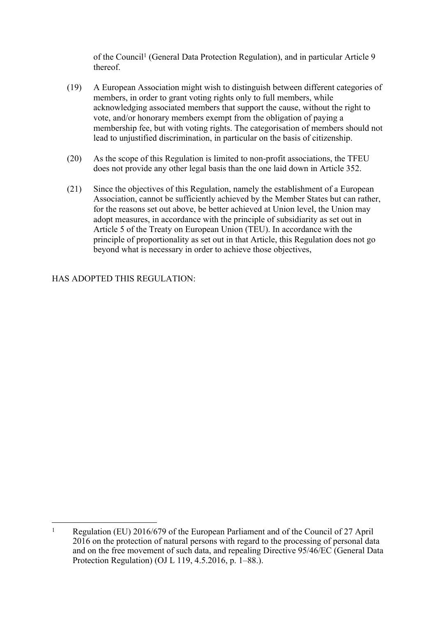of the Council<sup>1</sup> (General Data Protection Regulation), and in particular Article 9 thereof.

- (19) A European Association might wish to distinguish between different categories of members, in order to grant voting rights only to full members, while acknowledging associated members that support the cause, without the right to vote, and/or honorary members exempt from the obligation of paying a membership fee, but with voting rights. The categorisation of members should not lead to unjustified discrimination, in particular on the basis of citizenship.
- (20) As the scope of this Regulation is limited to non-profit associations, the TFEU does not provide any other legal basis than the one laid down in Article 352.
- (21) Since the objectives of this Regulation, namely the establishment of a European Association, cannot be sufficiently achieved by the Member States but can rather, for the reasons set out above, be better achieved at Union level, the Union may adopt measures, in accordance with the principle of subsidiarity as set out in Article 5 of the Treaty on European Union (TEU). In accordance with the principle of proportionality as set out in that Article, this Regulation does not go beyond what is necessary in order to achieve those objectives,

HAS ADOPTED THIS REGULATION:

<sup>1</sup> Regulation (EU) 2016/679 of the European Parliament and of the Council of 27 April 2016 on the protection of natural persons with regard to the processing of personal data and on the free movement of such data, and repealing Directive 95/46/EC (General Data Protection Regulation) (OJ L 119, 4.5.2016, p. 1–88.).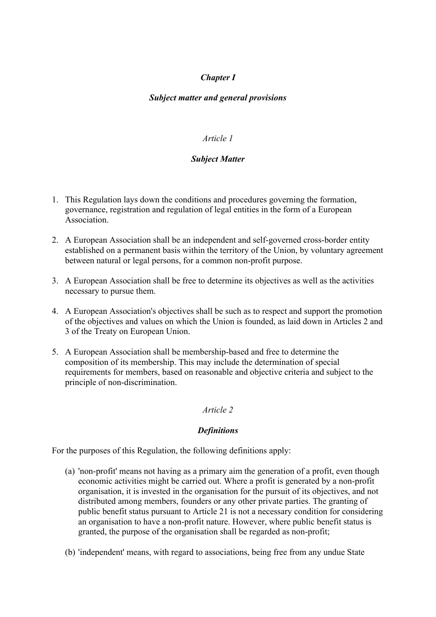# *Chapter I*

## *Subject matter and general provisions*

### *Article 1*

### *Subject Matter*

- 1. This Regulation lays down the conditions and procedures governing the formation, governance, registration and regulation of legal entities in the form of a European **Association**
- 2. A European Association shall be an independent and self-governed cross-border entity established on a permanent basis within the territory of the Union, by voluntary agreement between natural or legal persons, for a common non-profit purpose.
- 3. A European Association shall be free to determine its objectives as well as the activities necessary to pursue them.
- 4. A European Association's objectives shall be such as to respect and support the promotion of the objectives and values on which the Union is founded, as laid down in Articles 2 and 3 of the Treaty on European Union.
- 5. A European Association shall be membership-based and free to determine the composition of its membership. This may include the determination of special requirements for members, based on reasonable and objective criteria and subject to the principle of non-discrimination.

### *Article 2*

### *Definitions*

For the purposes of this Regulation, the following definitions apply:

- (a) 'non-profit' means not having as a primary aim the generation of a profit, even though economic activities might be carried out. Where a profit is generated by a non-profit organisation, it is invested in the organisation for the pursuit of its objectives, and not distributed among members, founders or any other private parties. The granting of public benefit status pursuant to Article 21 is not a necessary condition for considering an organisation to have a non-profit nature. However, where public benefit status is granted, the purpose of the organisation shall be regarded as non-profit;
- (b) 'independent' means, with regard to associations, being free from any undue State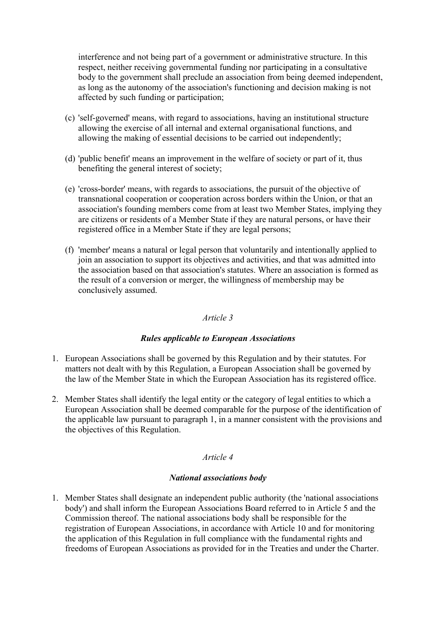interference and not being part of a government or administrative structure. In this respect, neither receiving governmental funding nor participating in a consultative body to the government shall preclude an association from being deemed independent, as long as the autonomy of the association's functioning and decision making is not affected by such funding or participation;

- (c) 'self-governed' means, with regard to associations, having an institutional structure allowing the exercise of all internal and external organisational functions, and allowing the making of essential decisions to be carried out independently;
- (d) 'public benefit' means an improvement in the welfare of society or part of it, thus benefiting the general interest of society;
- (e) 'cross-border' means, with regards to associations, the pursuit of the objective of transnational cooperation or cooperation across borders within the Union, or that an association's founding members come from at least two Member States, implying they are citizens or residents of a Member State if they are natural persons, or have their registered office in a Member State if they are legal persons;
- (f) 'member' means a natural or legal person that voluntarily and intentionally applied to join an association to support its objectives and activities, and that was admitted into the association based on that association's statutes. Where an association is formed as the result of a conversion or merger, the willingness of membership may be conclusively assumed.

#### *Article 3*

### *Rules applicable to European Associations*

- 1. European Associations shall be governed by this Regulation and by their statutes. For matters not dealt with by this Regulation, a European Association shall be governed by the law of the Member State in which the European Association has its registered office.
- 2. Member States shall identify the legal entity or the category of legal entities to which a European Association shall be deemed comparable for the purpose of the identification of the applicable law pursuant to paragraph 1, in a manner consistent with the provisions and the objectives of this Regulation.

#### *Article 4*

#### *National associations body*

1. Member States shall designate an independent public authority (the 'national associations body') and shall inform the European Associations Board referred to in Article 5 and the Commission thereof. The national associations body shall be responsible for the registration of European Associations, in accordance with Article 10 and for monitoring the application of this Regulation in full compliance with the fundamental rights and freedoms of European Associations as provided for in the Treaties and under the Charter.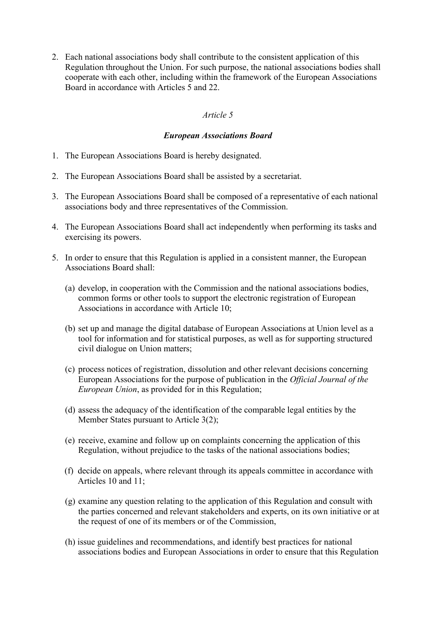2. Each national associations body shall contribute to the consistent application of this Regulation throughout the Union. For such purpose, the national associations bodies shall cooperate with each other, including within the framework of the European Associations Board in accordance with Articles 5 and 22.

### *Article 5*

### *European Associations Board*

- 1. The European Associations Board is hereby designated.
- 2. The European Associations Board shall be assisted by a secretariat.
- 3. The European Associations Board shall be composed of a representative of each national associations body and three representatives of the Commission.
- 4. The European Associations Board shall act independently when performing its tasks and exercising its powers.
- 5. In order to ensure that this Regulation is applied in a consistent manner, the European Associations Board shall:
	- (a) develop, in cooperation with the Commission and the national associations bodies, common forms or other tools to support the electronic registration of European Associations in accordance with Article 10;
	- (b) set up and manage the digital database of European Associations at Union level as a tool for information and for statistical purposes, as well as for supporting structured civil dialogue on Union matters;
	- (c) process notices of registration, dissolution and other relevant decisions concerning European Associations for the purpose of publication in the *Official Journal of the European Union*, as provided for in this Regulation;
	- (d) assess the adequacy of the identification of the comparable legal entities by the Member States pursuant to Article 3(2);
	- (e) receive, examine and follow up on complaints concerning the application of this Regulation, without prejudice to the tasks of the national associations bodies;
	- (f) decide on appeals, where relevant through its appeals committee in accordance with Articles 10 and 11;
	- (g) examine any question relating to the application of this Regulation and consult with the parties concerned and relevant stakeholders and experts, on its own initiative or at the request of one of its members or of the Commission,
	- (h) issue guidelines and recommendations, and identify best practices for national associations bodies and European Associations in order to ensure that this Regulation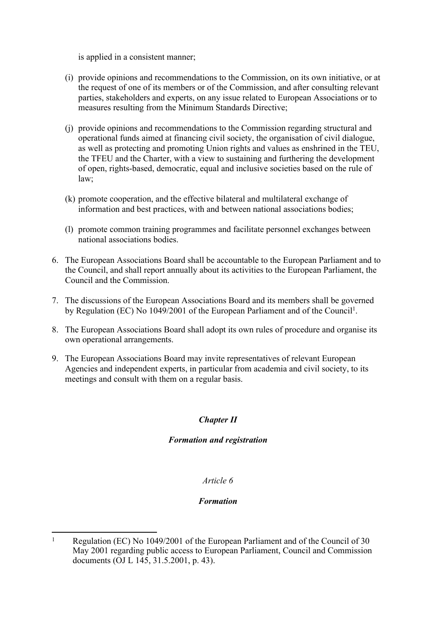is applied in a consistent manner;

- (i) provide opinions and recommendations to the Commission, on its own initiative, or at the request of one of its members or of the Commission, and after consulting relevant parties, stakeholders and experts, on any issue related to European Associations or to measures resulting from the Minimum Standards Directive;
- (j) provide opinions and recommendations to the Commission regarding structural and operational funds aimed at financing civil society, the organisation of civil dialogue, as well as protecting and promoting Union rights and values as enshrined in the TEU, the TFEU and the Charter, with a view to sustaining and furthering the development of open, rights-based, democratic, equal and inclusive societies based on the rule of law;
- (k) promote cooperation, and the effective bilateral and multilateral exchange of information and best practices, with and between national associations bodies;
- (l) promote common training programmes and facilitate personnel exchanges between national associations bodies.
- 6. The European Associations Board shall be accountable to the European Parliament and to the Council, and shall report annually about its activities to the European Parliament, the Council and the Commission.
- 7. The discussions of the European Associations Board and its members shall be governed by Regulation (EC) No 1049/2001 of the European Parliament and of the Council<sup>1</sup>.
- 8. The European Associations Board shall adopt its own rules of procedure and organise its own operational arrangements.
- 9. The European Associations Board may invite representatives of relevant European Agencies and independent experts, in particular from academia and civil society, to its meetings and consult with them on a regular basis.

# *Chapter II*

### *Formation and registration*

# *Article 6*

# *Formation*

<sup>1</sup> Regulation (EC) No 1049/2001 of the European Parliament and of the Council of 30 May 2001 regarding public access to European Parliament, Council and Commission documents (OJ L 145, 31.5.2001, p. 43).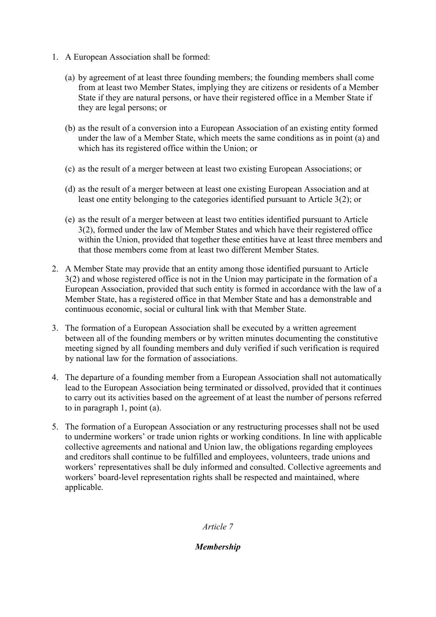- 1. A European Association shall be formed:
	- (a) by agreement of at least three founding members; the founding members shall come from at least two Member States, implying they are citizens or residents of a Member State if they are natural persons, or have their registered office in a Member State if they are legal persons; or
	- (b) as the result of a conversion into a European Association of an existing entity formed under the law of a Member State, which meets the same conditions as in point (a) and which has its registered office within the Union; or
	- (c) as the result of a merger between at least two existing European Associations; or
	- (d) as the result of a merger between at least one existing European Association and at least one entity belonging to the categories identified pursuant to Article 3(2); or
	- (e) as the result of a merger between at least two entities identified pursuant to Article 3(2), formed under the law of Member States and which have their registered office within the Union, provided that together these entities have at least three members and that those members come from at least two different Member States.
- 2. A Member State may provide that an entity among those identified pursuant to Article 3(2) and whose registered office is not in the Union may participate in the formation of a European Association, provided that such entity is formed in accordance with the law of a Member State, has a registered office in that Member State and has a demonstrable and continuous economic, social or cultural link with that Member State.
- 3. The formation of a European Association shall be executed by a written agreement between all of the founding members or by written minutes documenting the constitutive meeting signed by all founding members and duly verified if such verification is required by national law for the formation of associations.
- 4. The departure of a founding member from a European Association shall not automatically lead to the European Association being terminated or dissolved, provided that it continues to carry out its activities based on the agreement of at least the number of persons referred to in paragraph 1, point (a).
- 5. The formation of a European Association or any restructuring processes shall not be used to undermine workers' or trade union rights or working conditions. In line with applicable collective agreements and national and Union law, the obligations regarding employees and creditors shall continue to be fulfilled and employees, volunteers, trade unions and workers' representatives shall be duly informed and consulted. Collective agreements and workers' board-level representation rights shall be respected and maintained, where applicable.

### *Article 7*

### *Membership*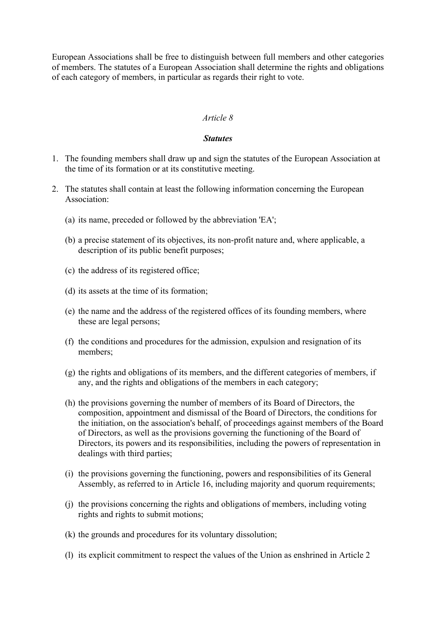European Associations shall be free to distinguish between full members and other categories of members. The statutes of a European Association shall determine the rights and obligations of each category of members, in particular as regards their right to vote.

#### *Article 8*

#### *Statutes*

- 1. The founding members shall draw up and sign the statutes of the European Association at the time of its formation or at its constitutive meeting.
- 2. The statutes shall contain at least the following information concerning the European Association:
	- (a) its name, preceded or followed by the abbreviation 'EA';
	- (b) a precise statement of its objectives, its non-profit nature and, where applicable, a description of its public benefit purposes;
	- (c) the address of its registered office;
	- (d) its assets at the time of its formation;
	- (e) the name and the address of the registered offices of its founding members, where these are legal persons;
	- (f) the conditions and procedures for the admission, expulsion and resignation of its members;
	- (g) the rights and obligations of its members, and the different categories of members, if any, and the rights and obligations of the members in each category;
	- (h) the provisions governing the number of members of its Board of Directors, the composition, appointment and dismissal of the Board of Directors, the conditions for the initiation, on the association's behalf, of proceedings against members of the Board of Directors, as well as the provisions governing the functioning of the Board of Directors, its powers and its responsibilities, including the powers of representation in dealings with third parties;
	- (i) the provisions governing the functioning, powers and responsibilities of its General Assembly, as referred to in Article 16, including majority and quorum requirements;
	- (j) the provisions concerning the rights and obligations of members, including voting rights and rights to submit motions;
	- (k) the grounds and procedures for its voluntary dissolution;
	- (l) its explicit commitment to respect the values of the Union as enshrined in Article 2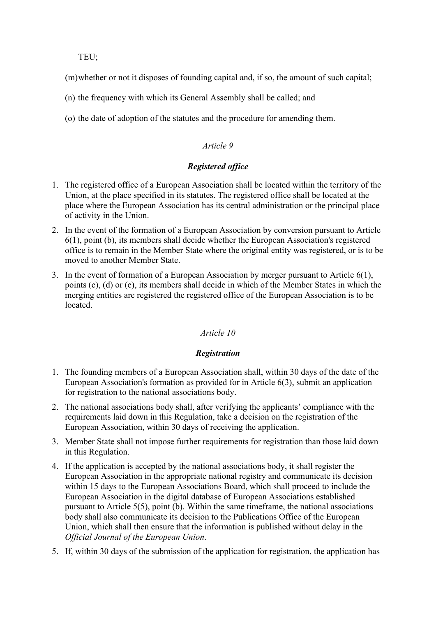TEU;

- (m)whether or not it disposes of founding capital and, if so, the amount of such capital;
- (n) the frequency with which its General Assembly shall be called; and
- (o) the date of adoption of the statutes and the procedure for amending them.

# *Article 9*

# *Registered office*

- 1. The registered office of a European Association shall be located within the territory of the Union, at the place specified in its statutes. The registered office shall be located at the place where the European Association has its central administration or the principal place of activity in the Union.
- 2. In the event of the formation of a European Association by conversion pursuant to Article 6(1), point (b), its members shall decide whether the European Association's registered office is to remain in the Member State where the original entity was registered, or is to be moved to another Member State.
- 3. In the event of formation of a European Association by merger pursuant to Article 6(1), points (c), (d) or (e), its members shall decide in which of the Member States in which the merging entities are registered the registered office of the European Association is to be located.

# *Article 10*

# *Registration*

- 1. The founding members of a European Association shall, within 30 days of the date of the European Association's formation as provided for in Article 6(3), submit an application for registration to the national associations body.
- 2. The national associations body shall, after verifying the applicants' compliance with the requirements laid down in this Regulation, take a decision on the registration of the European Association, within 30 days of receiving the application.
- 3. Member State shall not impose further requirements for registration than those laid down in this Regulation.
- 4. If the application is accepted by the national associations body, it shall register the European Association in the appropriate national registry and communicate its decision within 15 days to the European Associations Board, which shall proceed to include the European Association in the digital database of European Associations established pursuant to Article 5(5), point (b). Within the same timeframe, the national associations body shall also communicate its decision to the Publications Office of the European Union, which shall then ensure that the information is published without delay in the *Official Journal of the European Union*.
- 5. If, within 30 days of the submission of the application for registration, the application has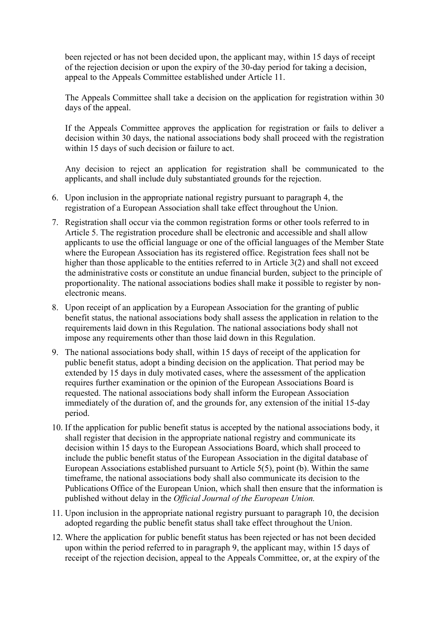been rejected or has not been decided upon, the applicant may, within 15 days of receipt of the rejection decision or upon the expiry of the 30-day period for taking a decision, appeal to the Appeals Committee established under Article 11.

The Appeals Committee shall take a decision on the application for registration within 30 days of the appeal.

If the Appeals Committee approves the application for registration or fails to deliver a decision within 30 days, the national associations body shall proceed with the registration within 15 days of such decision or failure to act.

Any decision to reject an application for registration shall be communicated to the applicants, and shall include duly substantiated grounds for the rejection.

- 6. Upon inclusion in the appropriate national registry pursuant to paragraph 4, the registration of a European Association shall take effect throughout the Union.
- 7. Registration shall occur via the common registration forms or other tools referred to in Article 5. The registration procedure shall be electronic and accessible and shall allow applicants to use the official language or one of the official languages of the Member State where the European Association has its registered office. Registration fees shall not be higher than those applicable to the entities referred to in Article 3(2) and shall not exceed the administrative costs or constitute an undue financial burden, subject to the principle of proportionality. The national associations bodies shall make it possible to register by nonelectronic means.
- 8. Upon receipt of an application by a European Association for the granting of public benefit status, the national associations body shall assess the application in relation to the requirements laid down in this Regulation. The national associations body shall not impose any requirements other than those laid down in this Regulation.
- 9. The national associations body shall, within 15 days of receipt of the application for public benefit status, adopt a binding decision on the application. That period may be extended by 15 days in duly motivated cases, where the assessment of the application requires further examination or the opinion of the European Associations Board is requested. The national associations body shall inform the European Association immediately of the duration of, and the grounds for, any extension of the initial 15-day period.
- 10. If the application for public benefit status is accepted by the national associations body, it shall register that decision in the appropriate national registry and communicate its decision within 15 days to the European Associations Board, which shall proceed to include the public benefit status of the European Association in the digital database of European Associations established pursuant to Article 5(5), point (b). Within the same timeframe, the national associations body shall also communicate its decision to the Publications Office of the European Union, which shall then ensure that the information is published without delay in the *Official Journal of the European Union.*
- 11. Upon inclusion in the appropriate national registry pursuant to paragraph 10, the decision adopted regarding the public benefit status shall take effect throughout the Union.
- 12. Where the application for public benefit status has been rejected or has not been decided upon within the period referred to in paragraph 9, the applicant may, within 15 days of receipt of the rejection decision, appeal to the Appeals Committee, or, at the expiry of the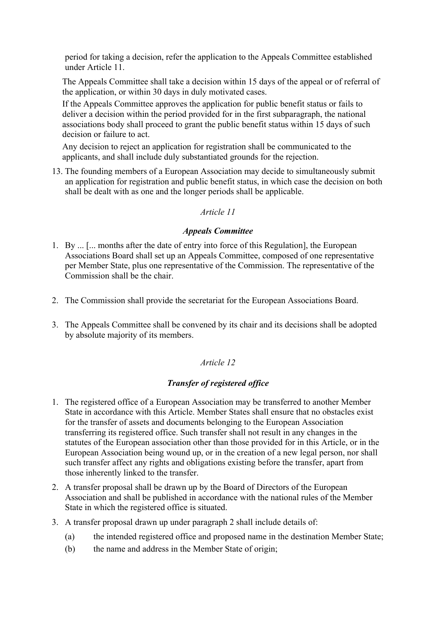period for taking a decision, refer the application to the Appeals Committee established under Article 11.

The Appeals Committee shall take a decision within 15 days of the appeal or of referral of the application, or within 30 days in duly motivated cases.

If the Appeals Committee approves the application for public benefit status or fails to deliver a decision within the period provided for in the first subparagraph, the national associations body shall proceed to grant the public benefit status within 15 days of such decision or failure to act.

Any decision to reject an application for registration shall be communicated to the applicants, and shall include duly substantiated grounds for the rejection.

13. The founding members of a European Association may decide to simultaneously submit an application for registration and public benefit status, in which case the decision on both shall be dealt with as one and the longer periods shall be applicable.

### *Article 11*

### *Appeals Committee*

- 1. By ... [... months after the date of entry into force of this Regulation], the European Associations Board shall set up an Appeals Committee, composed of one representative per Member State, plus one representative of the Commission. The representative of the Commission shall be the chair.
- 2. The Commission shall provide the secretariat for the European Associations Board.
- 3. The Appeals Committee shall be convened by its chair and its decisions shall be adopted by absolute majority of its members.

### *Article 12*

### *Transfer of registered office*

- 1. The registered office of a European Association may be transferred to another Member State in accordance with this Article. Member States shall ensure that no obstacles exist for the transfer of assets and documents belonging to the European Association transferring its registered office. Such transfer shall not result in any changes in the statutes of the European association other than those provided for in this Article, or in the European Association being wound up, or in the creation of a new legal person, nor shall such transfer affect any rights and obligations existing before the transfer, apart from those inherently linked to the transfer.
- 2. A transfer proposal shall be drawn up by the Board of Directors of the European Association and shall be published in accordance with the national rules of the Member State in which the registered office is situated.
- 3. A transfer proposal drawn up under paragraph 2 shall include details of:
	- (a) the intended registered office and proposed name in the destination Member State;
	- (b) the name and address in the Member State of origin;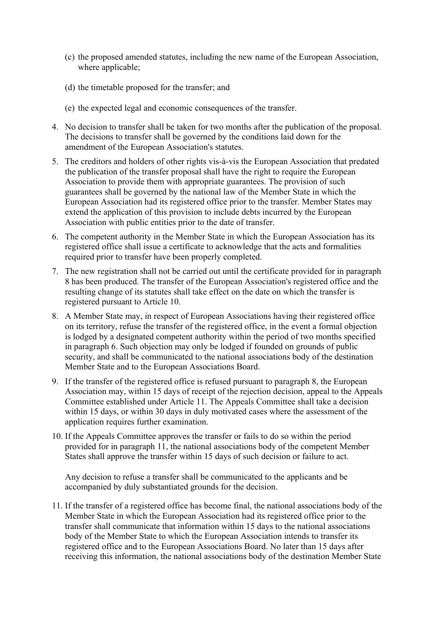- (c) the proposed amended statutes, including the new name of the European Association, where applicable;
- (d) the timetable proposed for the transfer; and
- (e) the expected legal and economic consequences of the transfer.
- 4. No decision to transfer shall be taken for two months after the publication of the proposal. The decisions to transfer shall be governed by the conditions laid down for the amendment of the European Association's statutes.
- 5. The creditors and holders of other rights vis-à-vis the European Association that predated the publication of the transfer proposal shall have the right to require the European Association to provide them with appropriate guarantees. The provision of such guarantees shall be governed by the national law of the Member State in which the European Association had its registered office prior to the transfer. Member States may extend the application of this provision to include debts incurred by the European Association with public entities prior to the date of transfer.
- 6. The competent authority in the Member State in which the European Association has its registered office shall issue a certificate to acknowledge that the acts and formalities required prior to transfer have been properly completed.
- 7. The new registration shall not be carried out until the certificate provided for in paragraph 8 has been produced. The transfer of the European Association's registered office and the resulting change of its statutes shall take effect on the date on which the transfer is registered pursuant to Article 10.
- 8. A Member State may, in respect of European Associations having their registered office on its territory, refuse the transfer of the registered office, in the event a formal objection is lodged by a designated competent authority within the period of two months specified in paragraph 6. Such objection may only be lodged if founded on grounds of public security, and shall be communicated to the national associations body of the destination Member State and to the European Associations Board.
- 9. If the transfer of the registered office is refused pursuant to paragraph 8, the European Association may, within 15 days of receipt of the rejection decision, appeal to the Appeals Committee established under Article 11. The Appeals Committee shall take a decision within 15 days, or within 30 days in duly motivated cases where the assessment of the application requires further examination.
- 10. If the Appeals Committee approves the transfer or fails to do so within the period provided for in paragraph 11, the national associations body of the competent Member States shall approve the transfer within 15 days of such decision or failure to act.

Any decision to refuse a transfer shall be communicated to the applicants and be accompanied by duly substantiated grounds for the decision.

11. If the transfer of a registered office has become final, the national associations body of the Member State in which the European Association had its registered office prior to the transfer shall communicate that information within 15 days to the national associations body of the Member State to which the European Association intends to transfer its registered office and to the European Associations Board. No later than 15 days after receiving this information, the national associations body of the destination Member State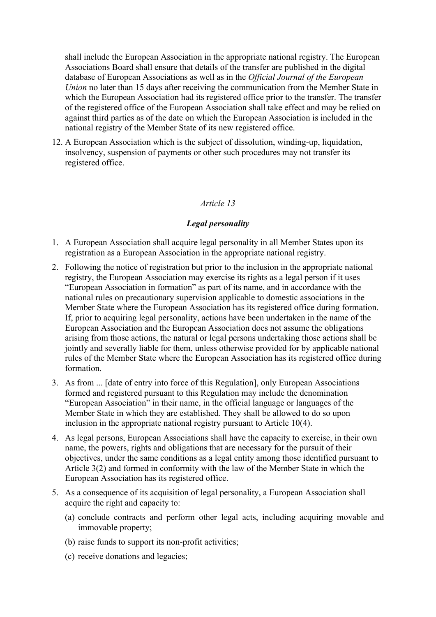shall include the European Association in the appropriate national registry. The European Associations Board shall ensure that details of the transfer are published in the digital database of European Associations as well as in the *Official Journal of the European Union* no later than 15 days after receiving the communication from the Member State in which the European Association had its registered office prior to the transfer. The transfer of the registered office of the European Association shall take effect and may be relied on against third parties as of the date on which the European Association is included in the national registry of the Member State of its new registered office.

12. A European Association which is the subject of dissolution, winding-up, liquidation, insolvency, suspension of payments or other such procedures may not transfer its registered office.

### *Article 13*

### *Legal personality*

- 1. A European Association shall acquire legal personality in all Member States upon its registration as a European Association in the appropriate national registry.
- 2. Following the notice of registration but prior to the inclusion in the appropriate national registry, the European Association may exercise its rights as a legal person if it uses "European Association in formation" as part of its name, and in accordance with the national rules on precautionary supervision applicable to domestic associations in the Member State where the European Association has its registered office during formation. If, prior to acquiring legal personality, actions have been undertaken in the name of the European Association and the European Association does not assume the obligations arising from those actions, the natural or legal persons undertaking those actions shall be jointly and severally liable for them, unless otherwise provided for by applicable national rules of the Member State where the European Association has its registered office during formation.
- 3. As from ... [date of entry into force of this Regulation], only European Associations formed and registered pursuant to this Regulation may include the denomination "European Association" in their name, in the official language or languages of the Member State in which they are established. They shall be allowed to do so upon inclusion in the appropriate national registry pursuant to Article 10(4).
- 4. As legal persons, European Associations shall have the capacity to exercise, in their own name, the powers, rights and obligations that are necessary for the pursuit of their objectives, under the same conditions as a legal entity among those identified pursuant to Article 3(2) and formed in conformity with the law of the Member State in which the European Association has its registered office.
- 5. As a consequence of its acquisition of legal personality, a European Association shall acquire the right and capacity to:
	- (a) conclude contracts and perform other legal acts, including acquiring movable and immovable property;
	- (b) raise funds to support its non-profit activities;
	- (c) receive donations and legacies;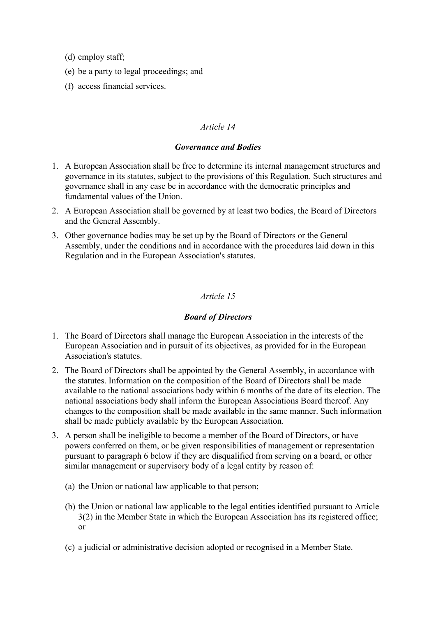(d) employ staff;

- (e) be a party to legal proceedings; and
- (f) access financial services.

### *Article 14*

### *Governance and Bodies*

- 1. A European Association shall be free to determine its internal management structures and governance in its statutes, subject to the provisions of this Regulation. Such structures and governance shall in any case be in accordance with the democratic principles and fundamental values of the Union.
- 2. A European Association shall be governed by at least two bodies, the Board of Directors and the General Assembly.
- 3. Other governance bodies may be set up by the Board of Directors or the General Assembly, under the conditions and in accordance with the procedures laid down in this Regulation and in the European Association's statutes.

## *Article 15*

### *Board of Directors*

- 1. The Board of Directors shall manage the European Association in the interests of the European Association and in pursuit of its objectives, as provided for in the European Association's statutes.
- 2. The Board of Directors shall be appointed by the General Assembly, in accordance with the statutes. Information on the composition of the Board of Directors shall be made available to the national associations body within 6 months of the date of its election. The national associations body shall inform the European Associations Board thereof. Any changes to the composition shall be made available in the same manner. Such information shall be made publicly available by the European Association.
- 3. A person shall be ineligible to become a member of the Board of Directors, or have powers conferred on them, or be given responsibilities of management or representation pursuant to paragraph 6 below if they are disqualified from serving on a board, or other similar management or supervisory body of a legal entity by reason of:
	- (a) the Union or national law applicable to that person;
	- (b) the Union or national law applicable to the legal entities identified pursuant to Article 3(2) in the Member State in which the European Association has its registered office; or
	- (c) a judicial or administrative decision adopted or recognised in a Member State.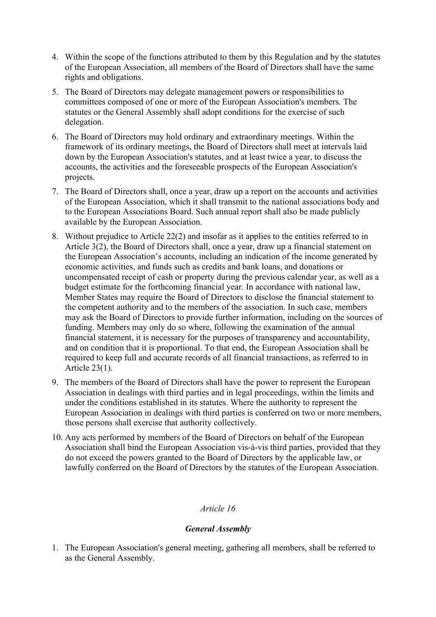- 4. Within the scope of the functions attributed to them by this Regulation and by the statutes of the European Association, all members of the Board of Directors shall have the same rights and obligations.
- 5. The Board of Directors may delegate management powers or responsibilities to committees composed of one or more of the European Association's members. The statutes or the General Assembly shall adopt conditions for the exercise of such delegation.
- 6. The Board of Directors may hold ordinary and extraordinary meetings. Within the framework of its ordinary meetings, the Board of Directors shall meet at intervals laid down by the European Association's statutes, and at least twice a year, to discuss the accounts, the activities and the foreseeable prospects of the European Association's projects.
- 7. The Board of Directors shall, once a year, draw up a report on the accounts and activities of the European Association, which it shall transmit to the national associations body and to the European Associations Board. Such annual report shall also be made publicly available by the European Association.
- 8. Without prejudice to Article 22(2) and insofar as it applies to the entities referred to in Article 3(2), the Board of Directors shall, once a year, draw up a financial statement on the European Association's accounts, including an indication of the income generated by economic activities, and funds such as credits and bank loans, and donations or uncompensated receipt of cash or property during the previous calendar year, as well as a budget estimate for the forthcoming financial year. In accordance with national law, Member States may require the Board of Directors to disclose the financial statement to the competent authority and to the members of the association. In such case, members may ask the Board of Directors to provide further information, including on the sources of funding. Members may only do so where, following the examination of the annual financial statement, it is necessary for the purposes of transparency and accountability, and on condition that it is proportional. To that end, the European Association shall be required to keep full and accurate records of all financial transactions, as referred to in Article 23(1).
- 9. The members of the Board of Directors shall have the power to represent the European Association in dealings with third parties and in legal proceedings, within the limits and under the conditions established in its statutes. Where the authority to represent the European Association in dealings with third parties is conferred on two or more members, those persons shall exercise that authority collectively.
- 10. Any acts performed by members of the Board of Directors on behalf of the European Association shall bind the European Association vis-à-vis third parties, provided that they do not exceed the powers granted to the Board of Directors by the applicable law, or lawfully conferred on the Board of Directors by the statutes of the European Association.

### *Article 16*

### *General Assembly*

1. The European Association's general meeting, gathering all members, shall be referred to as the General Assembly.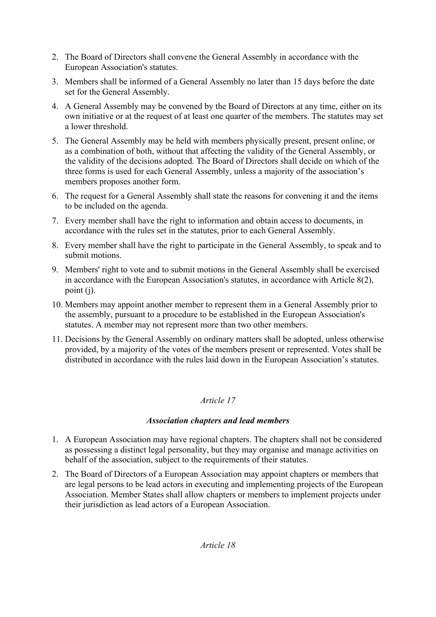- 2. The Board of Directors shall convene the General Assembly in accordance with the European Association's statutes.
- 3. Members shall be informed of a General Assembly no later than 15 days before the date set for the General Assembly.
- 4. A General Assembly may be convened by the Board of Directors at any time, either on its own initiative or at the request of at least one quarter of the members. The statutes may set a lower threshold.
- 5. The General Assembly may be held with members physically present, present online, or as a combination of both, without that affecting the validity of the General Assembly, or the validity of the decisions adopted. The Board of Directors shall decide on which of the three forms is used for each General Assembly, unless a majority of the association's members proposes another form.
- 6. The request for a General Assembly shall state the reasons for convening it and the items to be included on the agenda.
- 7. Every member shall have the right to information and obtain access to documents, in accordance with the rules set in the statutes, prior to each General Assembly.
- 8. Every member shall have the right to participate in the General Assembly, to speak and to submit motions.
- 9. Members' right to vote and to submit motions in the General Assembly shall be exercised in accordance with the European Association's statutes, in accordance with Article 8(2), point (j).
- 10. Members may appoint another member to represent them in a General Assembly prior to the assembly, pursuant to a procedure to be established in the European Association's statutes. A member may not represent more than two other members.
- 11. Decisions by the General Assembly on ordinary matters shall be adopted, unless otherwise provided, by a majority of the votes of the members present or represented. Votes shall be distributed in accordance with the rules laid down in the European Association's statutes.

# *Article 17*

# *Association chapters and lead members*

- 1. A European Association may have regional chapters. The chapters shall not be considered as possessing a distinct legal personality, but they may organise and manage activities on behalf of the association, subject to the requirements of their statutes.
- 2. The Board of Directors of a European Association may appoint chapters or members that are legal persons to be lead actors in executing and implementing projects of the European Association. Member States shall allow chapters or members to implement projects under their jurisdiction as lead actors of a European Association.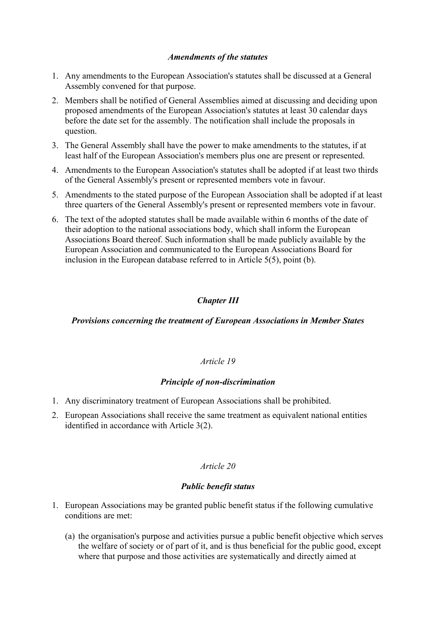### *Amendments of the statutes*

- 1. Any amendments to the European Association's statutes shall be discussed at a General Assembly convened for that purpose.
- 2. Members shall be notified of General Assemblies aimed at discussing and deciding upon proposed amendments of the European Association's statutes at least 30 calendar days before the date set for the assembly. The notification shall include the proposals in question.
- 3. The General Assembly shall have the power to make amendments to the statutes, if at least half of the European Association's members plus one are present or represented.
- 4. Amendments to the European Association's statutes shall be adopted if at least two thirds of the General Assembly's present or represented members vote in favour.
- 5. Amendments to the stated purpose of the European Association shall be adopted if at least three quarters of the General Assembly's present or represented members vote in favour.
- 6. The text of the adopted statutes shall be made available within 6 months of the date of their adoption to the national associations body, which shall inform the European Associations Board thereof. Such information shall be made publicly available by the European Association and communicated to the European Associations Board for inclusion in the European database referred to in Article 5(5), point (b).

## *Chapter III*

### *Provisions concerning the treatment of European Associations in Member States*

### *Article 19*

### *Principle of non-discrimination*

- 1. Any discriminatory treatment of European Associations shall be prohibited.
- 2. European Associations shall receive the same treatment as equivalent national entities identified in accordance with Article 3(2).

### *Article 20*

### *Public benefit status*

- 1. European Associations may be granted public benefit status if the following cumulative conditions are met:
	- (a) the organisation's purpose and activities pursue a public benefit objective which serves the welfare of society or of part of it, and is thus beneficial for the public good, except where that purpose and those activities are systematically and directly aimed at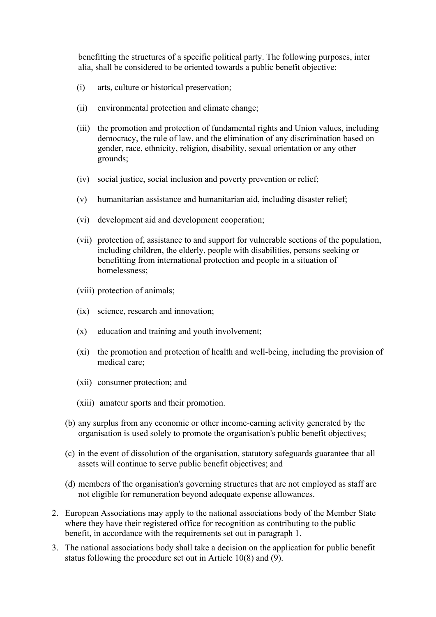benefitting the structures of a specific political party. The following purposes, inter alia, shall be considered to be oriented towards a public benefit objective:

- (i) arts, culture or historical preservation;
- (ii) environmental protection and climate change;
- (iii) the promotion and protection of fundamental rights and Union values, including democracy, the rule of law, and the elimination of any discrimination based on gender, race, ethnicity, religion, disability, sexual orientation or any other grounds;
- (iv) social justice, social inclusion and poverty prevention or relief;
- (v) humanitarian assistance and humanitarian aid, including disaster relief;
- (vi) development aid and development cooperation;
- (vii) protection of, assistance to and support for vulnerable sections of the population, including children, the elderly, people with disabilities, persons seeking or benefitting from international protection and people in a situation of homelessness;
- (viii) protection of animals;
- (ix) science, research and innovation;
- (x) education and training and youth involvement;
- (xi) the promotion and protection of health and well-being, including the provision of medical care;
- (xii) consumer protection; and
- (xiii) amateur sports and their promotion.
- (b) any surplus from any economic or other income-earning activity generated by the organisation is used solely to promote the organisation's public benefit objectives;
- (c) in the event of dissolution of the organisation, statutory safeguards guarantee that all assets will continue to serve public benefit objectives; and
- (d) members of the organisation's governing structures that are not employed as staff are not eligible for remuneration beyond adequate expense allowances.
- 2. European Associations may apply to the national associations body of the Member State where they have their registered office for recognition as contributing to the public benefit, in accordance with the requirements set out in paragraph 1.
- 3. The national associations body shall take a decision on the application for public benefit status following the procedure set out in Article 10(8) and (9).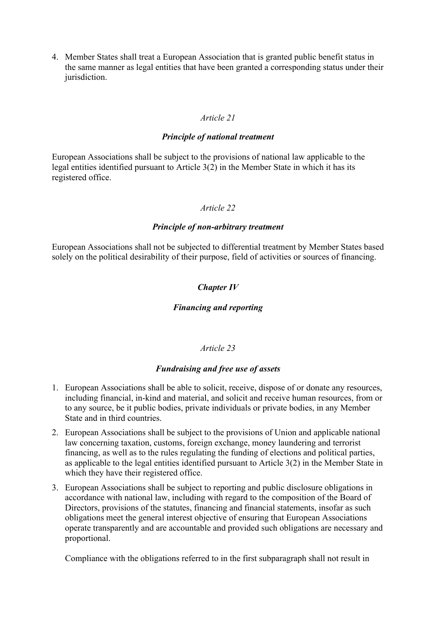4. Member States shall treat a European Association that is granted public benefit status in the same manner as legal entities that have been granted a corresponding status under their jurisdiction.

### *Article 21*

### *Principle of national treatment*

European Associations shall be subject to the provisions of national law applicable to the legal entities identified pursuant to Article 3(2) in the Member State in which it has its registered office.

### *Article 22*

#### *Principle of non-arbitrary treatment*

European Associations shall not be subjected to differential treatment by Member States based solely on the political desirability of their purpose, field of activities or sources of financing.

### *Chapter IV*

#### *Financing and reporting*

### *Article 23*

### *Fundraising and free use of assets*

- 1. European Associations shall be able to solicit, receive, dispose of or donate any resources, including financial, in-kind and material, and solicit and receive human resources, from or to any source, be it public bodies, private individuals or private bodies, in any Member State and in third countries.
- 2. European Associations shall be subject to the provisions of Union and applicable national law concerning taxation, customs, foreign exchange, money laundering and terrorist financing, as well as to the rules regulating the funding of elections and political parties, as applicable to the legal entities identified pursuant to Article 3(2) in the Member State in which they have their registered office.
- 3. European Associations shall be subject to reporting and public disclosure obligations in accordance with national law, including with regard to the composition of the Board of Directors, provisions of the statutes, financing and financial statements, insofar as such obligations meet the general interest objective of ensuring that European Associations operate transparently and are accountable and provided such obligations are necessary and proportional.

Compliance with the obligations referred to in the first subparagraph shall not result in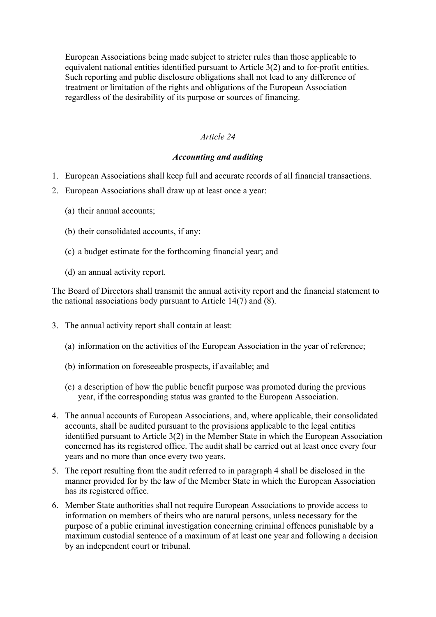European Associations being made subject to stricter rules than those applicable to equivalent national entities identified pursuant to Article 3(2) and to for-profit entities. Such reporting and public disclosure obligations shall not lead to any difference of treatment or limitation of the rights and obligations of the European Association regardless of the desirability of its purpose or sources of financing.

### *Article 24*

### *Accounting and auditing*

- 1. European Associations shall keep full and accurate records of all financial transactions.
- 2. European Associations shall draw up at least once a year:
	- (a) their annual accounts;
	- (b) their consolidated accounts, if any;
	- (c) a budget estimate for the forthcoming financial year; and
	- (d) an annual activity report.

The Board of Directors shall transmit the annual activity report and the financial statement to the national associations body pursuant to Article 14(7) and (8).

- 3. The annual activity report shall contain at least:
	- (a) information on the activities of the European Association in the year of reference;
	- (b) information on foreseeable prospects, if available; and
	- (c) a description of how the public benefit purpose was promoted during the previous year, if the corresponding status was granted to the European Association.
- 4. The annual accounts of European Associations, and, where applicable, their consolidated accounts, shall be audited pursuant to the provisions applicable to the legal entities identified pursuant to Article 3(2) in the Member State in which the European Association concerned has its registered office. The audit shall be carried out at least once every four years and no more than once every two years.
- 5. The report resulting from the audit referred to in paragraph 4 shall be disclosed in the manner provided for by the law of the Member State in which the European Association has its registered office.
- 6. Member State authorities shall not require European Associations to provide access to information on members of theirs who are natural persons, unless necessary for the purpose of a public criminal investigation concerning criminal offences punishable by a maximum custodial sentence of a maximum of at least one year and following a decision by an independent court or tribunal.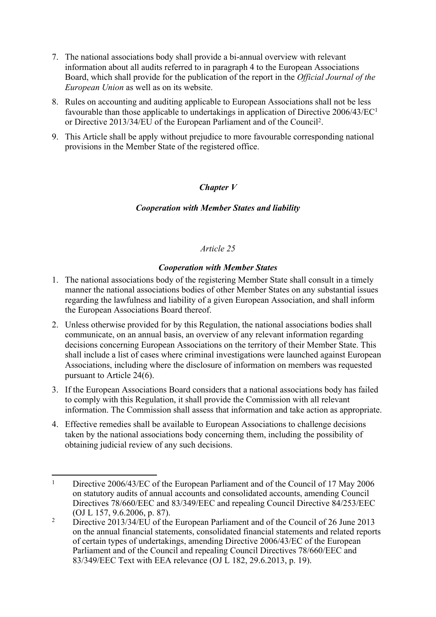- 7. The national associations body shall provide a bi-annual overview with relevant information about all audits referred to in paragraph 4 to the European Associations Board, which shall provide for the publication of the report in the *Official Journal of the European Union* as well as on its website.
- 8. Rules on accounting and auditing applicable to European Associations shall not be less favourable than those applicable to undertakings in application of Directive 2006/43/EC<sup>1</sup> or Directive 2013/34/EU of the European Parliament and of the Council<sup>2</sup> .
- 9. This Article shall be apply without prejudice to more favourable corresponding national provisions in the Member State of the registered office.

# *Chapter V*

# *Cooperation with Member States and liability*

## *Article 25*

## *Cooperation with Member States*

- 1. The national associations body of the registering Member State shall consult in a timely manner the national associations bodies of other Member States on any substantial issues regarding the lawfulness and liability of a given European Association, and shall inform the European Associations Board thereof.
- 2. Unless otherwise provided for by this Regulation, the national associations bodies shall communicate, on an annual basis, an overview of any relevant information regarding decisions concerning European Associations on the territory of their Member State. This shall include a list of cases where criminal investigations were launched against European Associations, including where the disclosure of information on members was requested pursuant to Article 24(6).
- 3. If the European Associations Board considers that a national associations body has failed to comply with this Regulation, it shall provide the Commission with all relevant information. The Commission shall assess that information and take action as appropriate.
- 4. Effective remedies shall be available to European Associations to challenge decisions taken by the national associations body concerning them, including the possibility of obtaining judicial review of any such decisions.

<sup>1</sup> Directive 2006/43/EC of the European Parliament and of the Council of 17 May 2006 on statutory audits of annual accounts and consolidated accounts, amending Council Directives 78/660/EEC and 83/349/EEC and repealing Council Directive 84/253/EEC (OJ L 157, 9.6.2006, p. 87).

<sup>2</sup> Directive 2013/34/EU of the European Parliament and of the Council of 26 June 2013 on the annual financial statements, consolidated financial statements and related reports of certain types of undertakings, amending Directive 2006/43/EC of the European Parliament and of the Council and repealing Council Directives 78/660/EEC and 83/349/EEC Text with EEA relevance (OJ L 182, 29.6.2013, p. 19).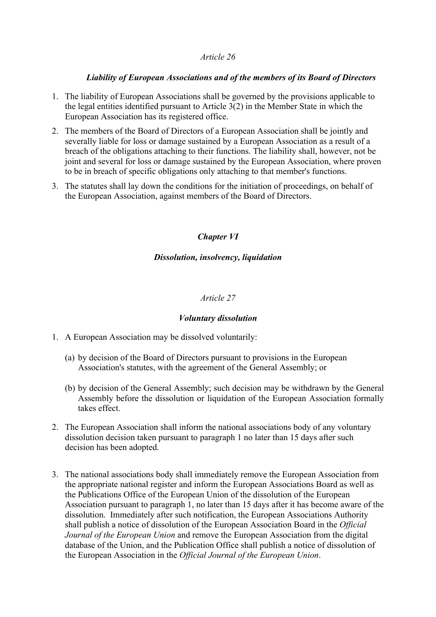### *Article 26*

### *Liability of European Associations and of the members of its Board of Directors*

- 1. The liability of European Associations shall be governed by the provisions applicable to the legal entities identified pursuant to Article 3(2) in the Member State in which the European Association has its registered office.
- 2. The members of the Board of Directors of a European Association shall be jointly and severally liable for loss or damage sustained by a European Association as a result of a breach of the obligations attaching to their functions. The liability shall, however, not be joint and several for loss or damage sustained by the European Association, where proven to be in breach of specific obligations only attaching to that member's functions.
- 3. The statutes shall lay down the conditions for the initiation of proceedings, on behalf of the European Association, against members of the Board of Directors.

### *Chapter VI*

#### *Dissolution, insolvency, liquidation*

### *Article 27*

#### *Voluntary dissolution*

- 1. A European Association may be dissolved voluntarily:
	- (a) by decision of the Board of Directors pursuant to provisions in the European Association's statutes, with the agreement of the General Assembly; or
	- (b) by decision of the General Assembly; such decision may be withdrawn by the General Assembly before the dissolution or liquidation of the European Association formally takes effect.
- 2. The European Association shall inform the national associations body of any voluntary dissolution decision taken pursuant to paragraph 1 no later than 15 days after such decision has been adopted.
- 3. The national associations body shall immediately remove the European Association from the appropriate national register and inform the European Associations Board as well as the Publications Office of the European Union of the dissolution of the European Association pursuant to paragraph 1, no later than 15 days after it has become aware of the dissolution. Immediately after such notification, the European Associations Authority shall publish a notice of dissolution of the European Association Board in the *Official Journal of the European Union* and remove the European Association from the digital database of the Union, and the Publication Office shall publish a notice of dissolution of the European Association in the *Official Journal of the European Union*.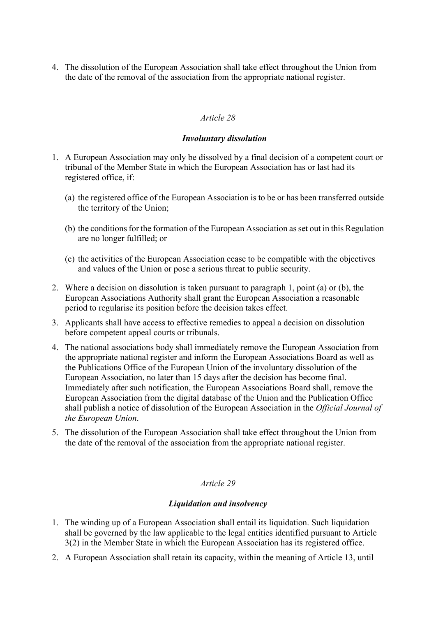4. The dissolution of the European Association shall take effect throughout the Union from the date of the removal of the association from the appropriate national register.

### *Article 28*

#### *Involuntary dissolution*

- 1. A European Association may only be dissolved by a final decision of a competent court or tribunal of the Member State in which the European Association has or last had its registered office, if:
	- (a) the registered office of the European Association is to be or has been transferred outside the territory of the Union;
	- (b) the conditions for the formation of the European Association as set out in this Regulation are no longer fulfilled; or
	- (c) the activities of the European Association cease to be compatible with the objectives and values of the Union or pose a serious threat to public security.
- 2. Where a decision on dissolution is taken pursuant to paragraph 1, point (a) or (b), the European Associations Authority shall grant the European Association a reasonable period to regularise its position before the decision takes effect.
- 3. Applicants shall have access to effective remedies to appeal a decision on dissolution before competent appeal courts or tribunals.
- 4. The national associations body shall immediately remove the European Association from the appropriate national register and inform the European Associations Board as well as the Publications Office of the European Union of the involuntary dissolution of the European Association, no later than 15 days after the decision has become final. Immediately after such notification, the European Associations Board shall, remove the European Association from the digital database of the Union and the Publication Office shall publish a notice of dissolution of the European Association in the *Official Journal of the European Union*.
- 5. The dissolution of the European Association shall take effect throughout the Union from the date of the removal of the association from the appropriate national register.

#### *Article 29*

#### *Liquidation and insolvency*

- 1. The winding up of a European Association shall entail its liquidation. Such liquidation shall be governed by the law applicable to the legal entities identified pursuant to Article 3(2) in the Member State in which the European Association has its registered office.
- 2. A European Association shall retain its capacity, within the meaning of Article 13, until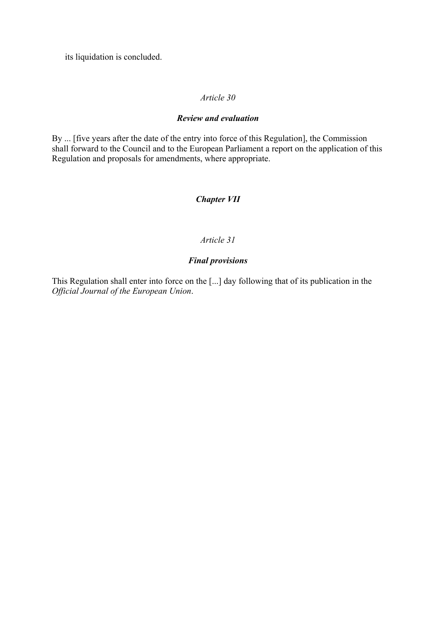its liquidation is concluded.

### *Article 30*

### *Review and evaluation*

By ... [five years after the date of the entry into force of this Regulation], the Commission shall forward to the Council and to the European Parliament a report on the application of this Regulation and proposals for amendments, where appropriate.

# *Chapter VII*

#### *Article 31*

### *Final provisions*

This Regulation shall enter into force on the [...] day following that of its publication in the *Official Journal of the European Union*.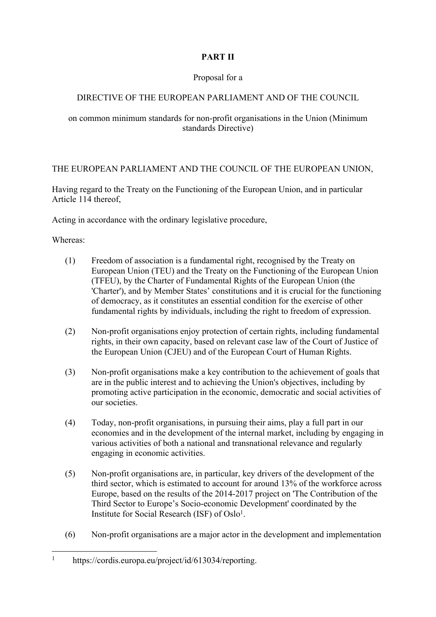# **PART II**

## Proposal for a

### DIRECTIVE OF THE EUROPEAN PARLIAMENT AND OF THE COUNCIL

### on common minimum standards for non-profit organisations in the Union (Minimum standards Directive)

## THE EUROPEAN PARLIAMENT AND THE COUNCIL OF THE EUROPEAN UNION,

Having regard to the Treaty on the Functioning of the European Union, and in particular Article 114 thereof,

Acting in accordance with the ordinary legislative procedure,

Whereas:

- (1) Freedom of association is a fundamental right, recognised by the Treaty on European Union (TEU) and the Treaty on the Functioning of the European Union (TFEU), by the Charter of Fundamental Rights of the European Union (the 'Charter'), and by Member States' constitutions and it is crucial for the functioning of democracy, as it constitutes an essential condition for the exercise of other fundamental rights by individuals, including the right to freedom of expression.
- (2) Non-profit organisations enjoy protection of certain rights, including fundamental rights, in their own capacity, based on relevant case law of the Court of Justice of the European Union (CJEU) and of the European Court of Human Rights.
- (3) Non-profit organisations make a key contribution to the achievement of goals that are in the public interest and to achieving the Union's objectives, including by promoting active participation in the economic, democratic and social activities of our societies.
- (4) Today, non-profit organisations, in pursuing their aims, play a full part in our economies and in the development of the internal market, including by engaging in various activities of both a national and transnational relevance and regularly engaging in economic activities.
- (5) Non-profit organisations are, in particular, key drivers of the development of the third sector, which is estimated to account for around 13% of the workforce across Europe, based on the results of the 2014-2017 project on 'The Contribution of the Third Sector to Europe's Socio-economic Development' coordinated by the Institute for Social Research (ISF) of Oslo<sup>1</sup>.
- (6) Non-profit organisations are a major actor in the development and implementation

<sup>1</sup> https://cordis.europa.eu/project/id/613034/reporting.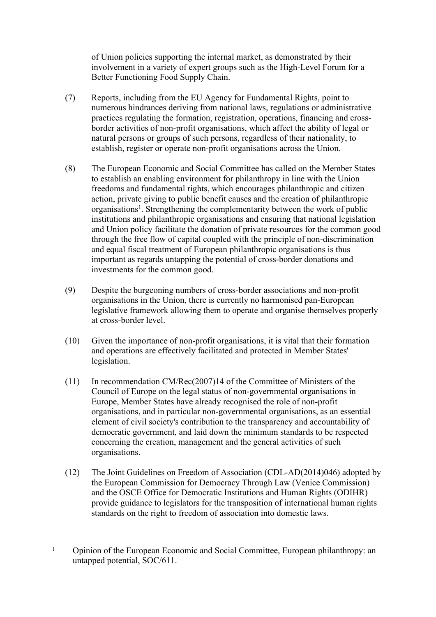of Union policies supporting the internal market, as demonstrated by their involvement in a variety of expert groups such as the High-Level Forum for a Better Functioning Food Supply Chain.

- (7) Reports, including from the EU Agency for Fundamental Rights, point to numerous hindrances deriving from national laws, regulations or administrative practices regulating the formation, registration, operations, financing and crossborder activities of non-profit organisations, which affect the ability of legal or natural persons or groups of such persons, regardless of their nationality, to establish, register or operate non-profit organisations across the Union.
- (8) The European Economic and Social Committee has called on the Member States to establish an enabling environment for philanthropy in line with the Union freedoms and fundamental rights, which encourages philanthropic and citizen action, private giving to public benefit causes and the creation of philanthropic organisations<sup>1</sup>. Strengthening the complementarity between the work of public institutions and philanthropic organisations and ensuring that national legislation and Union policy facilitate the donation of private resources for the common good through the free flow of capital coupled with the principle of non-discrimination and equal fiscal treatment of European philanthropic organisations is thus important as regards untapping the potential of cross-border donations and investments for the common good.
- (9) Despite the burgeoning numbers of cross-border associations and non-profit organisations in the Union, there is currently no harmonised pan-European legislative framework allowing them to operate and organise themselves properly at cross-border level.
- (10) Given the importance of non-profit organisations, it is vital that their formation and operations are effectively facilitated and protected in Member States' legislation.
- (11) In recommendation CM/Rec(2007)14 of the Committee of Ministers of the Council of Europe on the legal status of non-governmental organisations in Europe, Member States have already recognised the role of non-profit organisations, and in particular non-governmental organisations, as an essential element of civil society's contribution to the transparency and accountability of democratic government, and laid down the minimum standards to be respected concerning the creation, management and the general activities of such organisations.
- (12) The Joint Guidelines on Freedom of Association (CDL-AD(2014)046) adopted by the European Commission for Democracy Through Law (Venice Commission) and the OSCE Office for Democratic Institutions and Human Rights (ODIHR) provide guidance to legislators for the transposition of international human rights standards on the right to freedom of association into domestic laws.

<sup>1</sup> Opinion of the European Economic and Social Committee, European philanthropy: an untapped potential, SOC/611.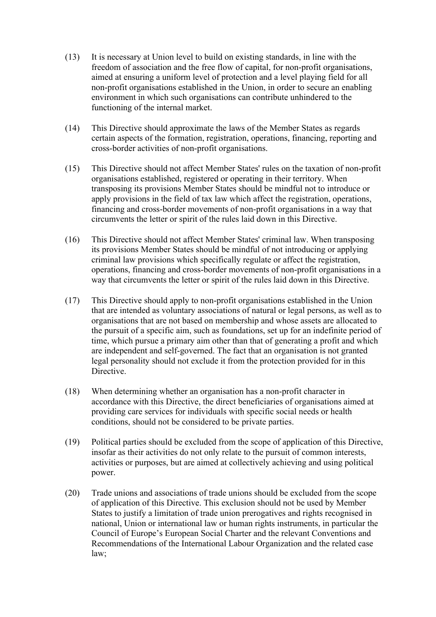- (13) It is necessary at Union level to build on existing standards, in line with the freedom of association and the free flow of capital, for non-profit organisations, aimed at ensuring a uniform level of protection and a level playing field for all non-profit organisations established in the Union, in order to secure an enabling environment in which such organisations can contribute unhindered to the functioning of the internal market.
- (14) This Directive should approximate the laws of the Member States as regards certain aspects of the formation, registration, operations, financing, reporting and cross-border activities of non-profit organisations.
- (15) This Directive should not affect Member States' rules on the taxation of non-profit organisations established, registered or operating in their territory. When transposing its provisions Member States should be mindful not to introduce or apply provisions in the field of tax law which affect the registration, operations, financing and cross-border movements of non-profit organisations in a way that circumvents the letter or spirit of the rules laid down in this Directive.
- (16) This Directive should not affect Member States' criminal law. When transposing its provisions Member States should be mindful of not introducing or applying criminal law provisions which specifically regulate or affect the registration, operations, financing and cross-border movements of non-profit organisations in a way that circumvents the letter or spirit of the rules laid down in this Directive.
- (17) This Directive should apply to non-profit organisations established in the Union that are intended as voluntary associations of natural or legal persons, as well as to organisations that are not based on membership and whose assets are allocated to the pursuit of a specific aim, such as foundations, set up for an indefinite period of time, which pursue a primary aim other than that of generating a profit and which are independent and self-governed. The fact that an organisation is not granted legal personality should not exclude it from the protection provided for in this Directive.
- (18) When determining whether an organisation has a non-profit character in accordance with this Directive, the direct beneficiaries of organisations aimed at providing care services for individuals with specific social needs or health conditions, should not be considered to be private parties.
- (19) Political parties should be excluded from the scope of application of this Directive, insofar as their activities do not only relate to the pursuit of common interests, activities or purposes, but are aimed at collectively achieving and using political power.
- (20) Trade unions and associations of trade unions should be excluded from the scope of application of this Directive. This exclusion should not be used by Member States to justify a limitation of trade union prerogatives and rights recognised in national, Union or international law or human rights instruments, in particular the Council of Europe's European Social Charter and the relevant Conventions and Recommendations of the International Labour Organization and the related case law;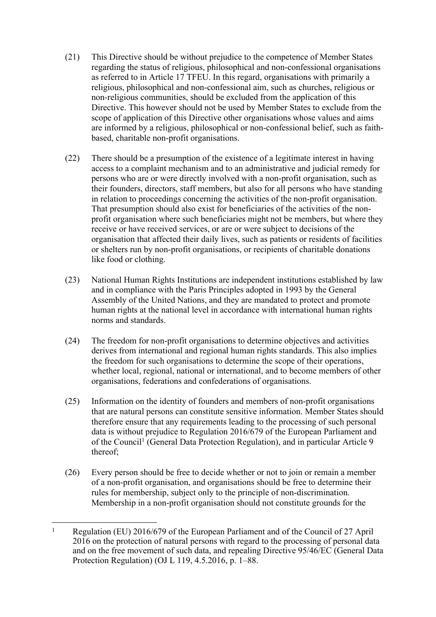- (21) This Directive should be without prejudice to the competence of Member States regarding the status of religious, philosophical and non-confessional organisations as referred to in Article 17 TFEU. In this regard, organisations with primarily a religious, philosophical and non-confessional aim, such as churches, religious or non-religious communities, should be excluded from the application of this Directive. This however should not be used by Member States to exclude from the scope of application of this Directive other organisations whose values and aims are informed by a religious, philosophical or non-confessional belief, such as faithbased, charitable non-profit organisations.
- (22) There should be a presumption of the existence of a legitimate interest in having access to a complaint mechanism and to an administrative and judicial remedy for persons who are or were directly involved with a non-profit organisation, such as their founders, directors, staff members, but also for all persons who have standing in relation to proceedings concerning the activities of the non-profit organisation. That presumption should also exist for beneficiaries of the activities of the nonprofit organisation where such beneficiaries might not be members, but where they receive or have received services, or are or were subject to decisions of the organisation that affected their daily lives, such as patients or residents of facilities or shelters run by non-profit organisations, or recipients of charitable donations like food or clothing.
- (23) National Human Rights Institutions are independent institutions established by law and in compliance with the Paris Principles adopted in 1993 by the General Assembly of the United Nations, and they are mandated to protect and promote human rights at the national level in accordance with international human rights norms and standards.
- (24) The freedom for non-profit organisations to determine objectives and activities derives from international and regional human rights standards. This also implies the freedom for such organisations to determine the scope of their operations, whether local, regional, national or international, and to become members of other organisations, federations and confederations of organisations.
- (25) Information on the identity of founders and members of non-profit organisations that are natural persons can constitute sensitive information. Member States should therefore ensure that any requirements leading to the processing of such personal data is without prejudice to Regulation 2016/679 of the European Parliament and of the Council<sup>1</sup> (General Data Protection Regulation), and in particular Article 9 thereof;
- (26) Every person should be free to decide whether or not to join or remain a member of a non-profit organisation, and organisations should be free to determine their rules for membership, subject only to the principle of non-discrimination. Membership in a non-profit organisation should not constitute grounds for the

<sup>1</sup> Regulation (EU) 2016/679 of the European Parliament and of the Council of 27 April 2016 on the protection of natural persons with regard to the processing of personal data and on the free movement of such data, and repealing Directive 95/46/EC (General Data Protection Regulation) (OJ L 119, 4.5.2016, p. 1–88.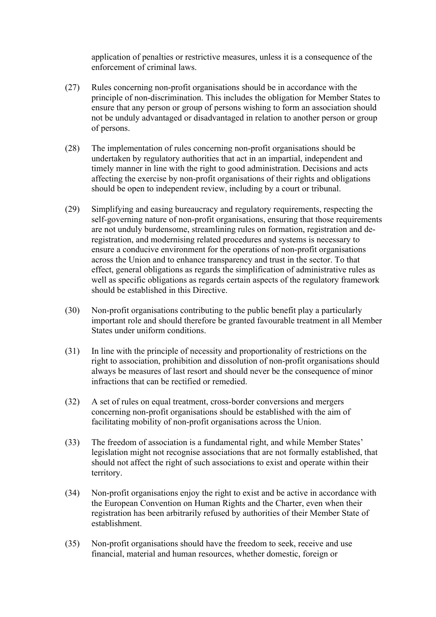application of penalties or restrictive measures, unless it is a consequence of the enforcement of criminal laws.

- (27) Rules concerning non-profit organisations should be in accordance with the principle of non-discrimination. This includes the obligation for Member States to ensure that any person or group of persons wishing to form an association should not be unduly advantaged or disadvantaged in relation to another person or group of persons.
- (28) The implementation of rules concerning non-profit organisations should be undertaken by regulatory authorities that act in an impartial, independent and timely manner in line with the right to good administration. Decisions and acts affecting the exercise by non-profit organisations of their rights and obligations should be open to independent review, including by a court or tribunal.
- (29) Simplifying and easing bureaucracy and regulatory requirements, respecting the self-governing nature of non-profit organisations, ensuring that those requirements are not unduly burdensome, streamlining rules on formation, registration and deregistration, and modernising related procedures and systems is necessary to ensure a conducive environment for the operations of non-profit organisations across the Union and to enhance transparency and trust in the sector. To that effect, general obligations as regards the simplification of administrative rules as well as specific obligations as regards certain aspects of the regulatory framework should be established in this Directive.
- (30) Non-profit organisations contributing to the public benefit play a particularly important role and should therefore be granted favourable treatment in all Member States under uniform conditions.
- (31) In line with the principle of necessity and proportionality of restrictions on the right to association, prohibition and dissolution of non-profit organisations should always be measures of last resort and should never be the consequence of minor infractions that can be rectified or remedied.
- (32) A set of rules on equal treatment, cross-border conversions and mergers concerning non-profit organisations should be established with the aim of facilitating mobility of non-profit organisations across the Union.
- (33) The freedom of association is a fundamental right, and while Member States' legislation might not recognise associations that are not formally established, that should not affect the right of such associations to exist and operate within their territory.
- (34) Non-profit organisations enjoy the right to exist and be active in accordance with the European Convention on Human Rights and the Charter, even when their registration has been arbitrarily refused by authorities of their Member State of establishment.
- (35) Non-profit organisations should have the freedom to seek, receive and use financial, material and human resources, whether domestic, foreign or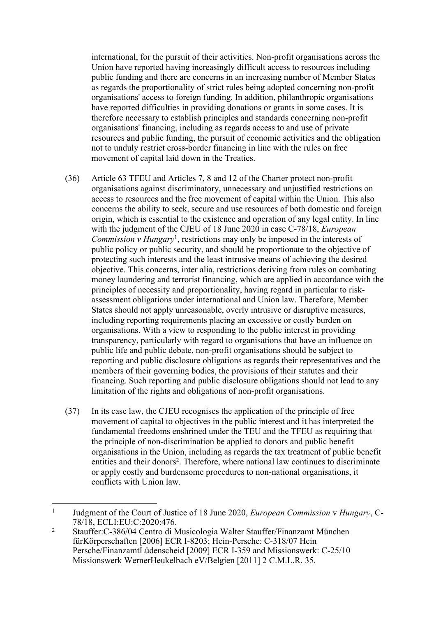international, for the pursuit of their activities. Non-profit organisations across the Union have reported having increasingly difficult access to resources including public funding and there are concerns in an increasing number of Member States as regards the proportionality of strict rules being adopted concerning non-profit organisations' access to foreign funding. In addition, philanthropic organisations have reported difficulties in providing donations or grants in some cases. It is therefore necessary to establish principles and standards concerning non-profit organisations' financing, including as regards access to and use of private resources and public funding, the pursuit of economic activities and the obligation not to unduly restrict cross-border financing in line with the rules on free movement of capital laid down in the Treaties.

- (36) Article 63 TFEU and Articles 7, 8 and 12 of the Charter protect non-profit organisations against discriminatory, unnecessary and unjustified restrictions on access to resources and the free movement of capital within the Union. This also concerns the ability to seek, secure and use resources of both domestic and foreign origin, which is essential to the existence and operation of any legal entity. In line with the judgment of the CJEU of 18 June 2020 in case C-78/18, *European Commission v Hungary*<sup>1</sup>, restrictions may only be imposed in the interests of public policy or public security, and should be proportionate to the objective of protecting such interests and the least intrusive means of achieving the desired objective. This concerns, inter alia, restrictions deriving from rules on combating money laundering and terrorist financing, which are applied in accordance with the principles of necessity and proportionality, having regard in particular to riskassessment obligations under international and Union law. Therefore, Member States should not apply unreasonable, overly intrusive or disruptive measures, including reporting requirements placing an excessive or costly burden on organisations. With a view to responding to the public interest in providing transparency, particularly with regard to organisations that have an influence on public life and public debate, non-profit organisations should be subject to reporting and public disclosure obligations as regards their representatives and the members of their governing bodies, the provisions of their statutes and their financing. Such reporting and public disclosure obligations should not lead to any limitation of the rights and obligations of non-profit organisations.
- (37) In its case law, the CJEU recognises the application of the principle of free movement of capital to objectives in the public interest and it has interpreted the fundamental freedoms enshrined under the TEU and the TFEU as requiring that the principle of non-discrimination be applied to donors and public benefit organisations in the Union, including as regards the tax treatment of public benefit entities and their donors<sup>2</sup>. Therefore, where national law continues to discriminate or apply costly and burdensome procedures to non-national organisations, it conflicts with Union law.

<sup>1</sup> Judgment of the Court of Justice of 18 June 2020, *European Commission* v *Hungary*, C-78/18, ECLI:EU:C:2020:476.

<sup>2</sup> Stauffer:C-386/04 Centro di Musicologia Walter Stauffer/Finanzamt München fürKörperschaften [2006] ECR I-8203; Hein-Persche: C-318/07 Hein Persche/FinanzamtLüdenscheid [2009] ECR I-359 and Missionswerk: C-25/10 Missionswerk WernerHeukelbach eV/Belgien [2011] 2 C.M.L.R. 35.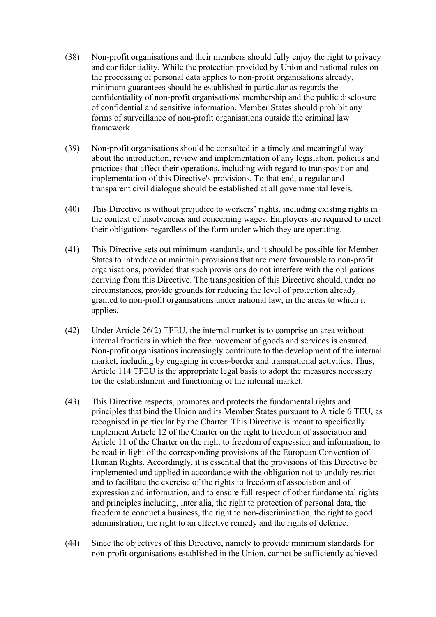- (38) Non-profit organisations and their members should fully enjoy the right to privacy and confidentiality. While the protection provided by Union and national rules on the processing of personal data applies to non-profit organisations already, minimum guarantees should be established in particular as regards the confidentiality of non-profit organisations' membership and the public disclosure of confidential and sensitive information. Member States should prohibit any forms of surveillance of non-profit organisations outside the criminal law framework.
- (39) Non-profit organisations should be consulted in a timely and meaningful way about the introduction, review and implementation of any legislation, policies and practices that affect their operations, including with regard to transposition and implementation of this Directive's provisions. To that end, a regular and transparent civil dialogue should be established at all governmental levels.
- (40) This Directive is without prejudice to workers' rights, including existing rights in the context of insolvencies and concerning wages. Employers are required to meet their obligations regardless of the form under which they are operating.
- (41) This Directive sets out minimum standards, and it should be possible for Member States to introduce or maintain provisions that are more favourable to non-profit organisations, provided that such provisions do not interfere with the obligations deriving from this Directive. The transposition of this Directive should, under no circumstances, provide grounds for reducing the level of protection already granted to non-profit organisations under national law, in the areas to which it applies.
- (42) Under Article 26(2) TFEU, the internal market is to comprise an area without internal frontiers in which the free movement of goods and services is ensured. Non-profit organisations increasingly contribute to the development of the internal market, including by engaging in cross-border and transnational activities. Thus, Article 114 TFEU is the appropriate legal basis to adopt the measures necessary for the establishment and functioning of the internal market.
- (43) This Directive respects, promotes and protects the fundamental rights and principles that bind the Union and its Member States pursuant to Article 6 TEU, as recognised in particular by the Charter. This Directive is meant to specifically implement Article 12 of the Charter on the right to freedom of association and Article 11 of the Charter on the right to freedom of expression and information, to be read in light of the corresponding provisions of the European Convention of Human Rights. Accordingly, it is essential that the provisions of this Directive be implemented and applied in accordance with the obligation not to unduly restrict and to facilitate the exercise of the rights to freedom of association and of expression and information, and to ensure full respect of other fundamental rights and principles including, inter alia, the right to protection of personal data, the freedom to conduct a business, the right to non-discrimination, the right to good administration, the right to an effective remedy and the rights of defence.
- (44) Since the objectives of this Directive, namely to provide minimum standards for non-profit organisations established in the Union, cannot be sufficiently achieved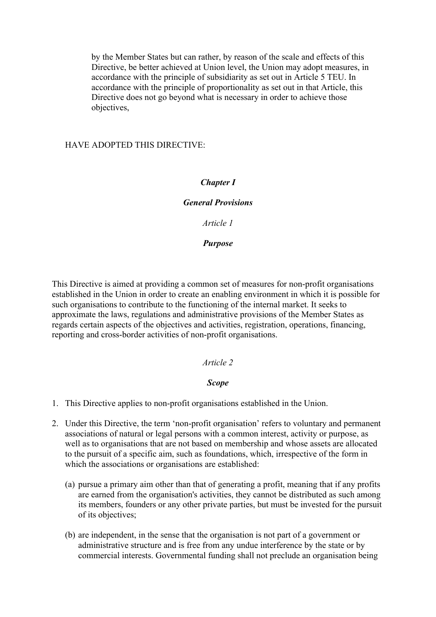by the Member States but can rather, by reason of the scale and effects of this Directive, be better achieved at Union level, the Union may adopt measures, in accordance with the principle of subsidiarity as set out in Article 5 TEU. In accordance with the principle of proportionality as set out in that Article, this Directive does not go beyond what is necessary in order to achieve those objectives,

### HAVE ADOPTED THIS DIRECTIVE:

### *Chapter I*

### *General Provisions*

*Article 1*

### *Purpose*

This Directive is aimed at providing a common set of measures for non-profit organisations established in the Union in order to create an enabling environment in which it is possible for such organisations to contribute to the functioning of the internal market. It seeks to approximate the laws, regulations and administrative provisions of the Member States as regards certain aspects of the objectives and activities, registration, operations, financing, reporting and cross-border activities of non-profit organisations.

#### *Article 2*

#### *Scope*

- 1. This Directive applies to non-profit organisations established in the Union.
- 2. Under this Directive, the term 'non-profit organisation' refers to voluntary and permanent associations of natural or legal persons with a common interest, activity or purpose, as well as to organisations that are not based on membership and whose assets are allocated to the pursuit of a specific aim, such as foundations, which, irrespective of the form in which the associations or organisations are established:
	- (a) pursue a primary aim other than that of generating a profit, meaning that if any profits are earned from the organisation's activities, they cannot be distributed as such among its members, founders or any other private parties, but must be invested for the pursuit of its objectives;
	- (b) are independent, in the sense that the organisation is not part of a government or administrative structure and is free from any undue interference by the state or by commercial interests. Governmental funding shall not preclude an organisation being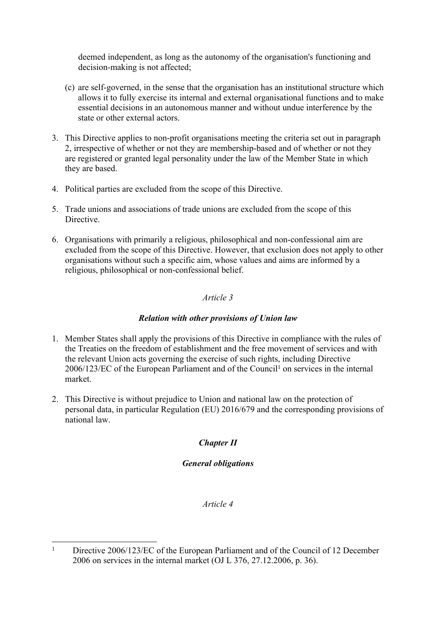deemed independent, as long as the autonomy of the organisation's functioning and decision-making is not affected;

- (c) are self-governed, in the sense that the organisation has an institutional structure which allows it to fully exercise its internal and external organisational functions and to make essential decisions in an autonomous manner and without undue interference by the state or other external actors.
- 3. This Directive applies to non-profit organisations meeting the criteria set out in paragraph 2, irrespective of whether or not they are membership-based and of whether or not they are registered or granted legal personality under the law of the Member State in which they are based.
- 4. Political parties are excluded from the scope of this Directive.
- 5. Trade unions and associations of trade unions are excluded from the scope of this Directive.
- 6. Organisations with primarily a religious, philosophical and non-confessional aim are excluded from the scope of this Directive. However, that exclusion does not apply to other organisations without such a specific aim, whose values and aims are informed by a religious, philosophical or non-confessional belief.

## *Article 3*

### *Relation with other provisions of Union law*

- 1. Member States shall apply the provisions of this Directive in compliance with the rules of the Treaties on the freedom of establishment and the free movement of services and with the relevant Union acts governing the exercise of such rights, including Directive 2006/123/EC of the European Parliament and of the Council<sup>1</sup> on services in the internal market.
- 2. This Directive is without prejudice to Union and national law on the protection of personal data, in particular Regulation (EU) 2016/679 and the corresponding provisions of national law.

# *Chapter II*

# *General obligations*

### *Article 4*

<sup>1</sup> Directive 2006/123/EC of the European Parliament and of the Council of 12 December 2006 on services in the internal market (OJ L 376, 27.12.2006, p. 36).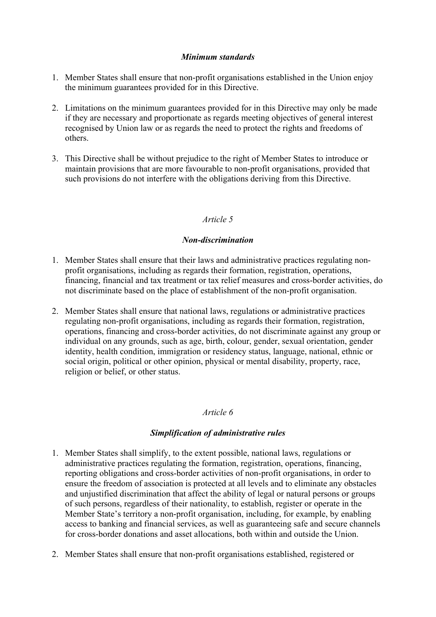### *Minimum standards*

- 1. Member States shall ensure that non-profit organisations established in the Union enjoy the minimum guarantees provided for in this Directive.
- 2. Limitations on the minimum guarantees provided for in this Directive may only be made if they are necessary and proportionate as regards meeting objectives of general interest recognised by Union law or as regards the need to protect the rights and freedoms of others.
- 3. This Directive shall be without prejudice to the right of Member States to introduce or maintain provisions that are more favourable to non-profit organisations, provided that such provisions do not interfere with the obligations deriving from this Directive.

### *Article 5*

#### *Non-discrimination*

- 1. Member States shall ensure that their laws and administrative practices regulating nonprofit organisations, including as regards their formation, registration, operations, financing, financial and tax treatment or tax relief measures and cross-border activities, do not discriminate based on the place of establishment of the non-profit organisation.
- 2. Member States shall ensure that national laws, regulations or administrative practices regulating non-profit organisations, including as regards their formation, registration, operations, financing and cross-border activities, do not discriminate against any group or individual on any grounds, such as age, birth, colour, gender, sexual orientation, gender identity, health condition, immigration or residency status, language, national, ethnic or social origin, political or other opinion, physical or mental disability, property, race, religion or belief, or other status.

## *Article 6*

#### *Simplification of administrative rules*

- 1. Member States shall simplify, to the extent possible, national laws, regulations or administrative practices regulating the formation, registration, operations, financing, reporting obligations and cross-border activities of non-profit organisations, in order to ensure the freedom of association is protected at all levels and to eliminate any obstacles and unjustified discrimination that affect the ability of legal or natural persons or groups of such persons, regardless of their nationality, to establish, register or operate in the Member State's territory a non-profit organisation, including, for example, by enabling access to banking and financial services, as well as guaranteeing safe and secure channels for cross-border donations and asset allocations, both within and outside the Union.
- 2. Member States shall ensure that non-profit organisations established, registered or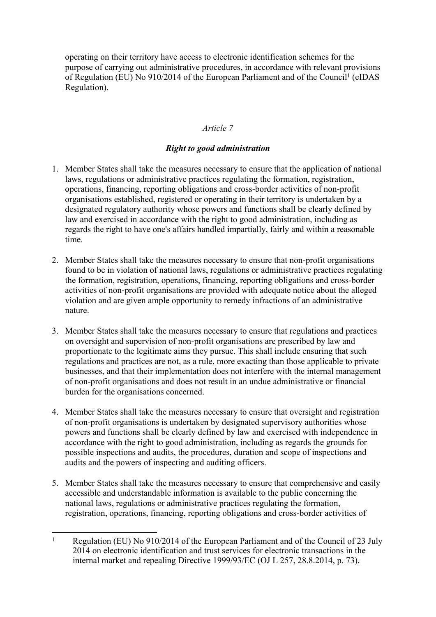operating on their territory have access to electronic identification schemes for the purpose of carrying out administrative procedures, in accordance with relevant provisions of Regulation (EU) No 910/2014 of the European Parliament and of the Council<sup>1</sup> (eIDAS Regulation).

### *Article 7*

### *Right to good administration*

- 1. Member States shall take the measures necessary to ensure that the application of national laws, regulations or administrative practices regulating the formation, registration, operations, financing, reporting obligations and cross-border activities of non-profit organisations established, registered or operating in their territory is undertaken by a designated regulatory authority whose powers and functions shall be clearly defined by law and exercised in accordance with the right to good administration, including as regards the right to have one's affairs handled impartially, fairly and within a reasonable time.
- 2. Member States shall take the measures necessary to ensure that non-profit organisations found to be in violation of national laws, regulations or administrative practices regulating the formation, registration, operations, financing, reporting obligations and cross-border activities of non-profit organisations are provided with adequate notice about the alleged violation and are given ample opportunity to remedy infractions of an administrative nature.
- 3. Member States shall take the measures necessary to ensure that regulations and practices on oversight and supervision of non-profit organisations are prescribed by law and proportionate to the legitimate aims they pursue. This shall include ensuring that such regulations and practices are not, as a rule, more exacting than those applicable to private businesses, and that their implementation does not interfere with the internal management of non-profit organisations and does not result in an undue administrative or financial burden for the organisations concerned.
- 4. Member States shall take the measures necessary to ensure that oversight and registration of non-profit organisations is undertaken by designated supervisory authorities whose powers and functions shall be clearly defined by law and exercised with independence in accordance with the right to good administration, including as regards the grounds for possible inspections and audits, the procedures, duration and scope of inspections and audits and the powers of inspecting and auditing officers.
- 5. Member States shall take the measures necessary to ensure that comprehensive and easily accessible and understandable information is available to the public concerning the national laws, regulations or administrative practices regulating the formation, registration, operations, financing, reporting obligations and cross-border activities of

<sup>1</sup> Regulation (EU) No 910/2014 of the European Parliament and of the Council of 23 July 2014 on electronic identification and trust services for electronic transactions in the internal market and repealing Directive 1999/93/EC (OJ L 257, 28.8.2014, p. 73).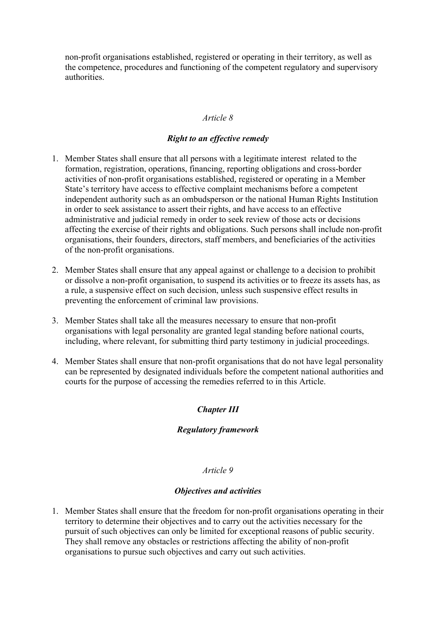non-profit organisations established, registered or operating in their territory, as well as the competence, procedures and functioning of the competent regulatory and supervisory authorities.

### *Article 8*

## *Right to an effective remedy*

- 1. Member States shall ensure that all persons with a legitimate interest related to the formation, registration, operations, financing, reporting obligations and cross-border activities of non-profit organisations established, registered or operating in a Member State's territory have access to effective complaint mechanisms before a competent independent authority such as an ombudsperson or the national Human Rights Institution in order to seek assistance to assert their rights, and have access to an effective administrative and judicial remedy in order to seek review of those acts or decisions affecting the exercise of their rights and obligations. Such persons shall include non-profit organisations, their founders, directors, staff members, and beneficiaries of the activities of the non-profit organisations.
- 2. Member States shall ensure that any appeal against or challenge to a decision to prohibit or dissolve a non-profit organisation, to suspend its activities or to freeze its assets has, as a rule, a suspensive effect on such decision, unless such suspensive effect results in preventing the enforcement of criminal law provisions.
- 3. Member States shall take all the measures necessary to ensure that non-profit organisations with legal personality are granted legal standing before national courts, including, where relevant, for submitting third party testimony in judicial proceedings.
- 4. Member States shall ensure that non-profit organisations that do not have legal personality can be represented by designated individuals before the competent national authorities and courts for the purpose of accessing the remedies referred to in this Article.

# *Chapter III*

### *Regulatory framework*

### *Article 9*

### *Objectives and activities*

1. Member States shall ensure that the freedom for non-profit organisations operating in their territory to determine their objectives and to carry out the activities necessary for the pursuit of such objectives can only be limited for exceptional reasons of public security. They shall remove any obstacles or restrictions affecting the ability of non-profit organisations to pursue such objectives and carry out such activities.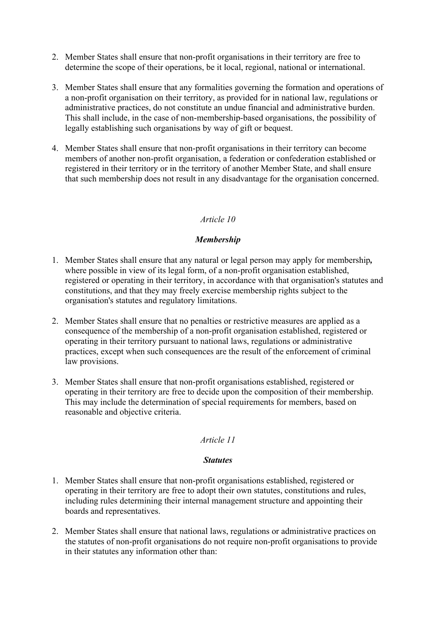- 2. Member States shall ensure that non-profit organisations in their territory are free to determine the scope of their operations, be it local, regional, national or international.
- 3. Member States shall ensure that any formalities governing the formation and operations of a non-profit organisation on their territory, as provided for in national law, regulations or administrative practices, do not constitute an undue financial and administrative burden. This shall include, in the case of non-membership-based organisations, the possibility of legally establishing such organisations by way of gift or bequest.
- 4. Member States shall ensure that non-profit organisations in their territory can become members of another non-profit organisation, a federation or confederation established or registered in their territory or in the territory of another Member State, and shall ensure that such membership does not result in any disadvantage for the organisation concerned.

### *Article 10*

### *Membership*

- 1. Member States shall ensure that any natural or legal person may apply for membership*,*  where possible in view of its legal form, of a non-profit organisation established, registered or operating in their territory, in accordance with that organisation's statutes and constitutions, and that they may freely exercise membership rights subject to the organisation's statutes and regulatory limitations.
- 2. Member States shall ensure that no penalties or restrictive measures are applied as a consequence of the membership of a non-profit organisation established, registered or operating in their territory pursuant to national laws, regulations or administrative practices, except when such consequences are the result of the enforcement of criminal law provisions.
- 3. Member States shall ensure that non-profit organisations established, registered or operating in their territory are free to decide upon the composition of their membership. This may include the determination of special requirements for members, based on reasonable and objective criteria.

#### *Article 11*

#### *Statutes*

- 1. Member States shall ensure that non-profit organisations established, registered or operating in their territory are free to adopt their own statutes, constitutions and rules, including rules determining their internal management structure and appointing their boards and representatives.
- 2. Member States shall ensure that national laws, regulations or administrative practices on the statutes of non-profit organisations do not require non-profit organisations to provide in their statutes any information other than: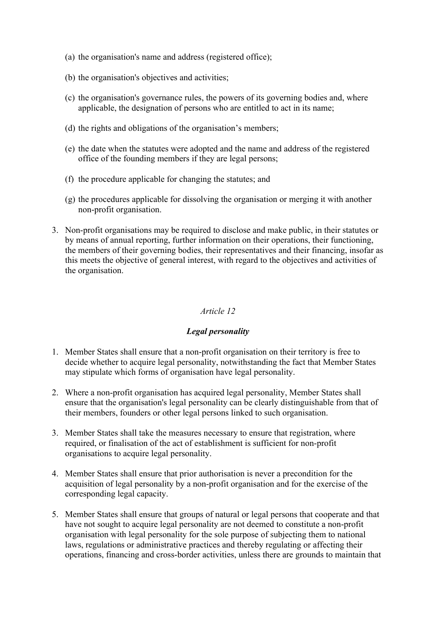- (a) the organisation's name and address (registered office);
- (b) the organisation's objectives and activities;
- (c) the organisation's governance rules, the powers of its governing bodies and, where applicable, the designation of persons who are entitled to act in its name;
- (d) the rights and obligations of the organisation's members;
- (e) the date when the statutes were adopted and the name and address of the registered office of the founding members if they are legal persons;
- (f) the procedure applicable for changing the statutes; and
- (g) the procedures applicable for dissolving the organisation or merging it with another non-profit organisation.
- 3. Non-profit organisations may be required to disclose and make public, in their statutes or by means of annual reporting, further information on their operations, their functioning, the members of their governing bodies, their representatives and their financing, insofar as this meets the objective of general interest, with regard to the objectives and activities of the organisation.

### *Article 12*

### *Legal personality*

- 1. Member States shall ensure that a non-profit organisation on their territory is free to decide whether to acquire legal personality, notwithstanding the fact that Member States may stipulate which forms of organisation have legal personality.
- 2. Where a non-profit organisation has acquired legal personality, Member States shall ensure that the organisation's legal personality can be clearly distinguishable from that of their members, founders or other legal persons linked to such organisation.
- 3. Member States shall take the measures necessary to ensure that registration, where required, or finalisation of the act of establishment is sufficient for non-profit organisations to acquire legal personality.
- 4. Member States shall ensure that prior authorisation is never a precondition for the acquisition of legal personality by a non-profit organisation and for the exercise of the corresponding legal capacity.
- 5. Member States shall ensure that groups of natural or legal persons that cooperate and that have not sought to acquire legal personality are not deemed to constitute a non-profit organisation with legal personality for the sole purpose of subjecting them to national laws, regulations or administrative practices and thereby regulating or affecting their operations, financing and cross-border activities, unless there are grounds to maintain that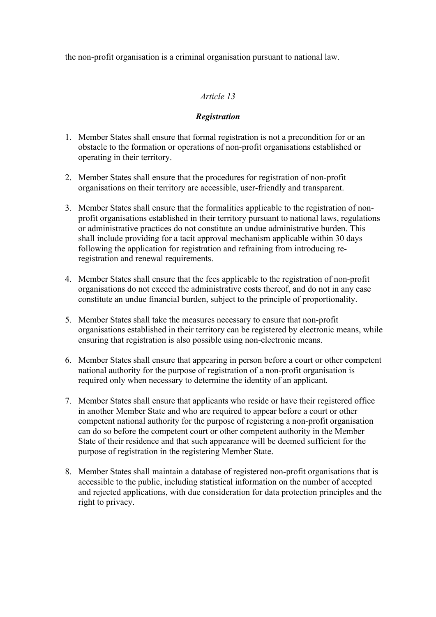the non-profit organisation is a criminal organisation pursuant to national law.

## *Article 13*

### *Registration*

- 1. Member States shall ensure that formal registration is not a precondition for or an obstacle to the formation or operations of non-profit organisations established or operating in their territory.
- 2. Member States shall ensure that the procedures for registration of non-profit organisations on their territory are accessible, user-friendly and transparent.
- 3. Member States shall ensure that the formalities applicable to the registration of nonprofit organisations established in their territory pursuant to national laws, regulations or administrative practices do not constitute an undue administrative burden. This shall include providing for a tacit approval mechanism applicable within 30 days following the application for registration and refraining from introducing reregistration and renewal requirements.
- 4. Member States shall ensure that the fees applicable to the registration of non-profit organisations do not exceed the administrative costs thereof, and do not in any case constitute an undue financial burden, subject to the principle of proportionality.
- 5. Member States shall take the measures necessary to ensure that non-profit organisations established in their territory can be registered by electronic means, while ensuring that registration is also possible using non-electronic means.
- 6. Member States shall ensure that appearing in person before a court or other competent national authority for the purpose of registration of a non-profit organisation is required only when necessary to determine the identity of an applicant.
- 7. Member States shall ensure that applicants who reside or have their registered office in another Member State and who are required to appear before a court or other competent national authority for the purpose of registering a non-profit organisation can do so before the competent court or other competent authority in the Member State of their residence and that such appearance will be deemed sufficient for the purpose of registration in the registering Member State.
- 8. Member States shall maintain a database of registered non-profit organisations that is accessible to the public, including statistical information on the number of accepted and rejected applications, with due consideration for data protection principles and the right to privacy.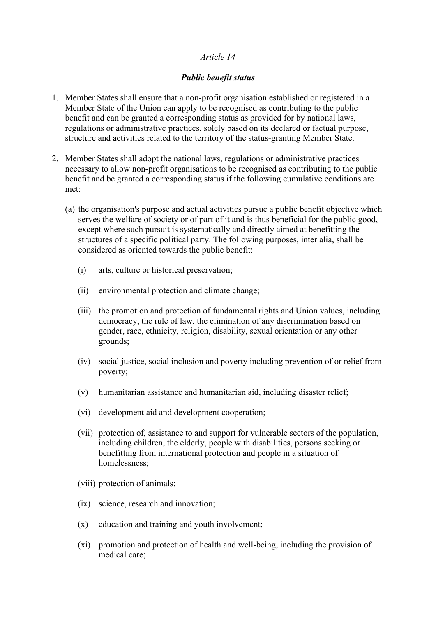### *Article 14*

### *Public benefit status*

- 1. Member States shall ensure that a non-profit organisation established or registered in a Member State of the Union can apply to be recognised as contributing to the public benefit and can be granted a corresponding status as provided for by national laws, regulations or administrative practices, solely based on its declared or factual purpose, structure and activities related to the territory of the status-granting Member State.
- 2. Member States shall adopt the national laws, regulations or administrative practices necessary to allow non-profit organisations to be recognised as contributing to the public benefit and be granted a corresponding status if the following cumulative conditions are met:
	- (a) the organisation's purpose and actual activities pursue a public benefit objective which serves the welfare of society or of part of it and is thus beneficial for the public good, except where such pursuit is systematically and directly aimed at benefitting the structures of a specific political party. The following purposes, inter alia, shall be considered as oriented towards the public benefit:
		- (i) arts, culture or historical preservation;
		- (ii) environmental protection and climate change;
		- (iii) the promotion and protection of fundamental rights and Union values, including democracy, the rule of law, the elimination of any discrimination based on gender, race, ethnicity, religion, disability, sexual orientation or any other grounds;
		- (iv) social justice, social inclusion and poverty including prevention of or relief from poverty;
		- (v) humanitarian assistance and humanitarian aid, including disaster relief;
		- (vi) development aid and development cooperation;
		- (vii) protection of, assistance to and support for vulnerable sectors of the population, including children, the elderly, people with disabilities, persons seeking or benefitting from international protection and people in a situation of homelessness;
		- (viii) protection of animals;
		- (ix) science, research and innovation;
		- (x) education and training and youth involvement;
		- (xi) promotion and protection of health and well-being, including the provision of medical care;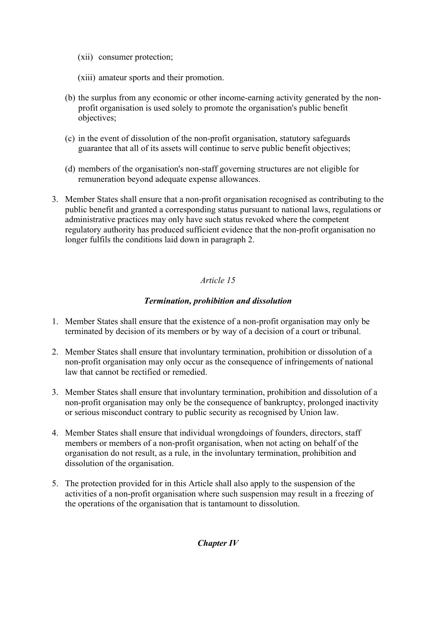- (xii) consumer protection;
- (xiii) amateur sports and their promotion.
- (b) the surplus from any economic or other income-earning activity generated by the nonprofit organisation is used solely to promote the organisation's public benefit objectives;
- (c) in the event of dissolution of the non-profit organisation, statutory safeguards guarantee that all of its assets will continue to serve public benefit objectives;
- (d) members of the organisation's non-staff governing structures are not eligible for remuneration beyond adequate expense allowances.
- 3. Member States shall ensure that a non-profit organisation recognised as contributing to the public benefit and granted a corresponding status pursuant to national laws, regulations or administrative practices may only have such status revoked where the competent regulatory authority has produced sufficient evidence that the non-profit organisation no longer fulfils the conditions laid down in paragraph 2.

# *Article 15*

# *Termination, prohibition and dissolution*

- 1. Member States shall ensure that the existence of a non-profit organisation may only be terminated by decision of its members or by way of a decision of a court or tribunal.
- 2. Member States shall ensure that involuntary termination, prohibition or dissolution of a non-profit organisation may only occur as the consequence of infringements of national law that cannot be rectified or remedied.
- 3. Member States shall ensure that involuntary termination, prohibition and dissolution of a non-profit organisation may only be the consequence of bankruptcy, prolonged inactivity or serious misconduct contrary to public security as recognised by Union law.
- 4. Member States shall ensure that individual wrongdoings of founders, directors, staff members or members of a non-profit organisation, when not acting on behalf of the organisation do not result, as a rule, in the involuntary termination, prohibition and dissolution of the organisation.
- 5. The protection provided for in this Article shall also apply to the suspension of the activities of a non-profit organisation where such suspension may result in a freezing of the operations of the organisation that is tantamount to dissolution.

*Chapter IV*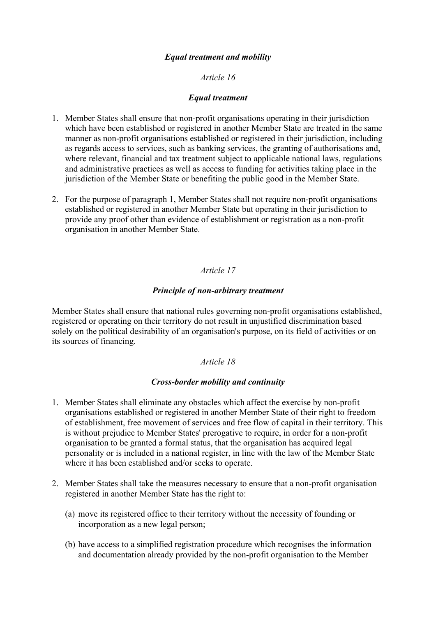#### *Equal treatment and mobility*

### *Article 16*

### *Equal treatment*

- 1. Member States shall ensure that non-profit organisations operating in their jurisdiction which have been established or registered in another Member State are treated in the same manner as non-profit organisations established or registered in their jurisdiction, including as regards access to services, such as banking services, the granting of authorisations and, where relevant, financial and tax treatment subject to applicable national laws, regulations and administrative practices as well as access to funding for activities taking place in the jurisdiction of the Member State or benefiting the public good in the Member State.
- 2. For the purpose of paragraph 1, Member States shall not require non-profit organisations established or registered in another Member State but operating in their jurisdiction to provide any proof other than evidence of establishment or registration as a non-profit organisation in another Member State.

### *Article 17*

### *Principle of non-arbitrary treatment*

Member States shall ensure that national rules governing non-profit organisations established, registered or operating on their territory do not result in unjustified discrimination based solely on the political desirability of an organisation's purpose, on its field of activities or on its sources of financing.

### *Article 18*

#### *Cross-border mobility and continuity*

- 1. Member States shall eliminate any obstacles which affect the exercise by non-profit organisations established or registered in another Member State of their right to freedom of establishment, free movement of services and free flow of capital in their territory. This is without prejudice to Member States' prerogative to require, in order for a non-profit organisation to be granted a formal status, that the organisation has acquired legal personality or is included in a national register, in line with the law of the Member State where it has been established and/or seeks to operate.
- 2. Member States shall take the measures necessary to ensure that a non-profit organisation registered in another Member State has the right to:
	- (a) move its registered office to their territory without the necessity of founding or incorporation as a new legal person;
	- (b) have access to a simplified registration procedure which recognises the information and documentation already provided by the non-profit organisation to the Member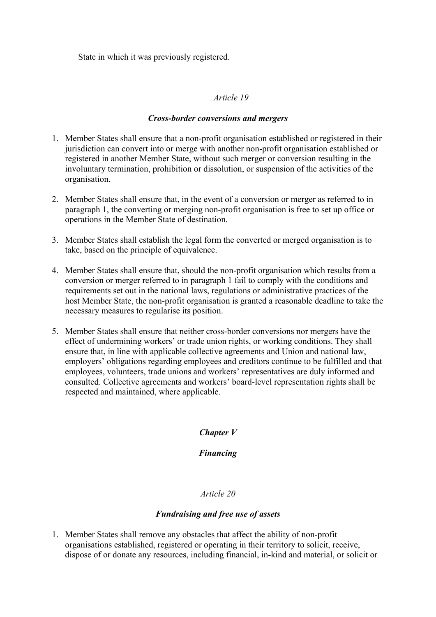State in which it was previously registered.

## *Article 19*

### *Cross-border conversions and mergers*

- 1. Member States shall ensure that a non-profit organisation established or registered in their jurisdiction can convert into or merge with another non-profit organisation established or registered in another Member State, without such merger or conversion resulting in the involuntary termination, prohibition or dissolution, or suspension of the activities of the organisation.
- 2. Member States shall ensure that, in the event of a conversion or merger as referred to in paragraph 1, the converting or merging non-profit organisation is free to set up office or operations in the Member State of destination.
- 3. Member States shall establish the legal form the converted or merged organisation is to take, based on the principle of equivalence.
- 4. Member States shall ensure that, should the non-profit organisation which results from a conversion or merger referred to in paragraph 1 fail to comply with the conditions and requirements set out in the national laws, regulations or administrative practices of the host Member State, the non-profit organisation is granted a reasonable deadline to take the necessary measures to regularise its position.
- 5. Member States shall ensure that neither cross-border conversions nor mergers have the effect of undermining workers' or trade union rights, or working conditions. They shall ensure that, in line with applicable collective agreements and Union and national law, employers' obligations regarding employees and creditors continue to be fulfilled and that employees, volunteers, trade unions and workers' representatives are duly informed and consulted. Collective agreements and workers' board-level representation rights shall be respected and maintained, where applicable.

# *Chapter V*

# *Financing*

### *Article 20*

### *Fundraising and free use of assets*

1. Member States shall remove any obstacles that affect the ability of non-profit organisations established, registered or operating in their territory to solicit, receive, dispose of or donate any resources, including financial, in-kind and material, or solicit or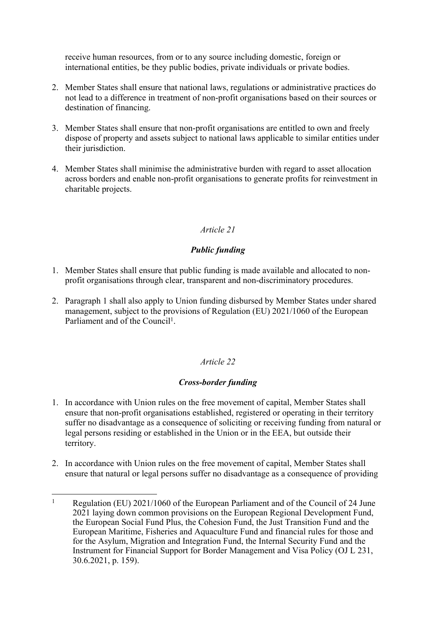receive human resources, from or to any source including domestic, foreign or international entities, be they public bodies, private individuals or private bodies.

- 2. Member States shall ensure that national laws, regulations or administrative practices do not lead to a difference in treatment of non-profit organisations based on their sources or destination of financing.
- 3. Member States shall ensure that non-profit organisations are entitled to own and freely dispose of property and assets subject to national laws applicable to similar entities under their jurisdiction.
- 4. Member States shall minimise the administrative burden with regard to asset allocation across borders and enable non-profit organisations to generate profits for reinvestment in charitable projects.

## *Article 21*

# *Public funding*

- 1. Member States shall ensure that public funding is made available and allocated to nonprofit organisations through clear, transparent and non-discriminatory procedures.
- 2. Paragraph 1 shall also apply to Union funding disbursed by Member States under shared management, subject to the provisions of Regulation (EU) 2021/1060 of the European Parliament and of the Council<sup>1</sup>.

# *Article 22*

### *Cross-border funding*

- 1. In accordance with Union rules on the free movement of capital, Member States shall ensure that non-profit organisations established, registered or operating in their territory suffer no disadvantage as a consequence of soliciting or receiving funding from natural or legal persons residing or established in the Union or in the EEA, but outside their territory.
- 2. In accordance with Union rules on the free movement of capital, Member States shall ensure that natural or legal persons suffer no disadvantage as a consequence of providing

<sup>1</sup> Regulation (EU) 2021/1060 of the European Parliament and of the Council of 24 June 2021 laying down common provisions on the European Regional Development Fund, the European Social Fund Plus, the Cohesion Fund, the Just Transition Fund and the European Maritime, Fisheries and Aquaculture Fund and financial rules for those and for the Asylum, Migration and Integration Fund, the Internal Security Fund and the Instrument for Financial Support for Border Management and Visa Policy (OJ L 231, 30.6.2021, p. 159).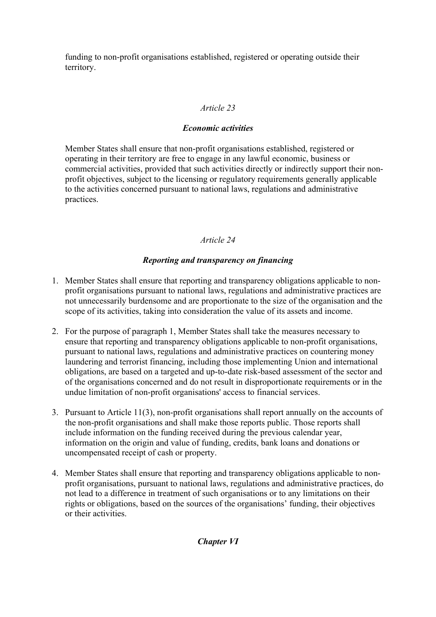funding to non-profit organisations established, registered or operating outside their territory.

# *Article 23*

# *Economic activities*

Member States shall ensure that non-profit organisations established, registered or operating in their territory are free to engage in any lawful economic, business or commercial activities, provided that such activities directly or indirectly support their nonprofit objectives, subject to the licensing or regulatory requirements generally applicable to the activities concerned pursuant to national laws, regulations and administrative practices.

# *Article 24*

# *Reporting and transparency on financing*

- 1. Member States shall ensure that reporting and transparency obligations applicable to nonprofit organisations pursuant to national laws, regulations and administrative practices are not unnecessarily burdensome and are proportionate to the size of the organisation and the scope of its activities, taking into consideration the value of its assets and income.
- 2. For the purpose of paragraph 1, Member States shall take the measures necessary to ensure that reporting and transparency obligations applicable to non-profit organisations. pursuant to national laws, regulations and administrative practices on countering money laundering and terrorist financing, including those implementing Union and international obligations, are based on a targeted and up-to-date risk-based assessment of the sector and of the organisations concerned and do not result in disproportionate requirements or in the undue limitation of non-profit organisations' access to financial services.
- 3. Pursuant to Article 11(3), non-profit organisations shall report annually on the accounts of the non-profit organisations and shall make those reports public. Those reports shall include information on the funding received during the previous calendar year, information on the origin and value of funding, credits, bank loans and donations or uncompensated receipt of cash or property.
- 4. Member States shall ensure that reporting and transparency obligations applicable to nonprofit organisations, pursuant to national laws, regulations and administrative practices, do not lead to a difference in treatment of such organisations or to any limitations on their rights or obligations, based on the sources of the organisations' funding, their objectives or their activities.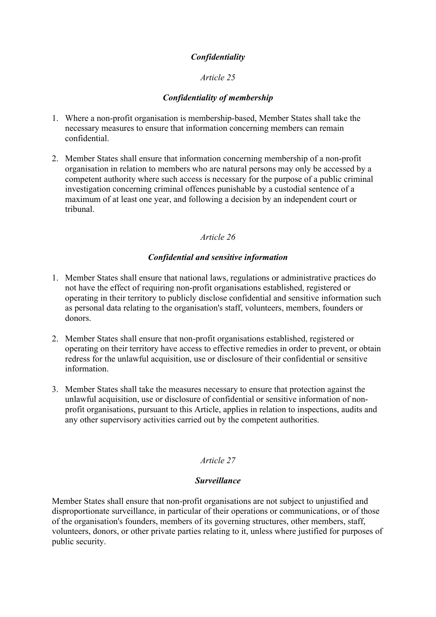# *Confidentiality*

## *Article 25*

## *Confidentiality of membership*

- 1. Where a non-profit organisation is membership-based, Member States shall take the necessary measures to ensure that information concerning members can remain confidential.
- 2. Member States shall ensure that information concerning membership of a non-profit organisation in relation to members who are natural persons may only be accessed by a competent authority where such access is necessary for the purpose of a public criminal investigation concerning criminal offences punishable by a custodial sentence of a maximum of at least one year, and following a decision by an independent court or tribunal.

### *Article 26*

### *Confidential and sensitive information*

- 1. Member States shall ensure that national laws, regulations or administrative practices do not have the effect of requiring non-profit organisations established, registered or operating in their territory to publicly disclose confidential and sensitive information such as personal data relating to the organisation's staff, volunteers, members, founders or donors.
- 2. Member States shall ensure that non-profit organisations established, registered or operating on their territory have access to effective remedies in order to prevent, or obtain redress for the unlawful acquisition, use or disclosure of their confidential or sensitive information.
- 3. Member States shall take the measures necessary to ensure that protection against the unlawful acquisition, use or disclosure of confidential or sensitive information of nonprofit organisations, pursuant to this Article, applies in relation to inspections, audits and any other supervisory activities carried out by the competent authorities.

### *Article 27*

### *Surveillance*

Member States shall ensure that non-profit organisations are not subject to unjustified and disproportionate surveillance, in particular of their operations or communications, or of those of the organisation's founders, members of its governing structures, other members, staff, volunteers, donors, or other private parties relating to it, unless where justified for purposes of public security.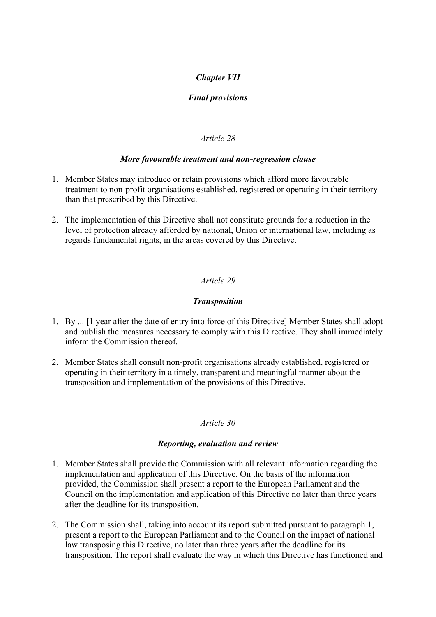## *Chapter VII*

## *Final provisions*

### *Article 28*

### *More favourable treatment and non-regression clause*

- 1. Member States may introduce or retain provisions which afford more favourable treatment to non-profit organisations established, registered or operating in their territory than that prescribed by this Directive.
- 2. The implementation of this Directive shall not constitute grounds for a reduction in the level of protection already afforded by national, Union or international law, including as regards fundamental rights, in the areas covered by this Directive.

## *Article 29*

### *Transposition*

- 1. By ... [1 year after the date of entry into force of this Directive] Member States shall adopt and publish the measures necessary to comply with this Directive. They shall immediately inform the Commission thereof.
- 2. Member States shall consult non-profit organisations already established, registered or operating in their territory in a timely, transparent and meaningful manner about the transposition and implementation of the provisions of this Directive.

#### *Article 30*

#### *Reporting, evaluation and review*

- 1. Member States shall provide the Commission with all relevant information regarding the implementation and application of this Directive. On the basis of the information provided, the Commission shall present a report to the European Parliament and the Council on the implementation and application of this Directive no later than three years after the deadline for its transposition.
- 2. The Commission shall, taking into account its report submitted pursuant to paragraph 1, present a report to the European Parliament and to the Council on the impact of national law transposing this Directive, no later than three years after the deadline for its transposition. The report shall evaluate the way in which this Directive has functioned and